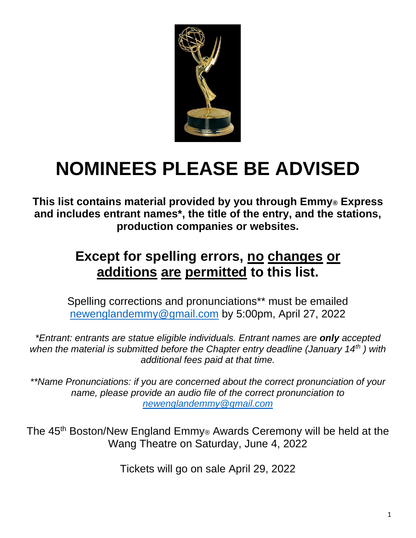

# **NOMINEES PLEASE BE ADVISED**

**This list contains material provided by you through Emmy® Express and includes entrant names\*, the title of the entry, and the stations, production companies or websites.**

# **Except for spelling errors, no changes or additions are permitted to this list.**

Spelling corrections and pronunciations\*\* must be emailed [newenglandemmy@gmail.com](mailto:newenglandemmy@gmail.com) by 5:00pm, April 27, 2022

*\*Entrant: entrants are statue eligible individuals. Entrant names are only accepted when the material is submitted before the Chapter entry deadline (January 14th ) with additional fees paid at that time.*

*\*\*Name Pronunciations: if you are concerned about the correct pronunciation of your name, please provide an audio file of the correct pronunciation to [newenglandemmy@gmail.com](mailto:newenglandemmy@gmail.com)*

The 45th Boston/New England Emmy® Awards Ceremony will be held at the Wang Theatre on Saturday, June 4, 2022

Tickets will go on sale April 29, 2022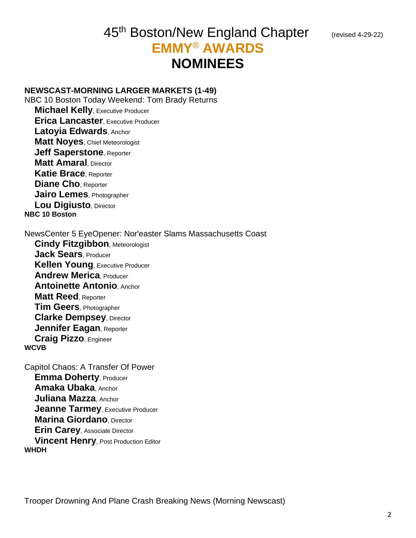# 45<sup>th</sup> Boston/New England Chapter (revised 4-29-22) **EMMY**® **AWARDS NOMINEES**

#### **NEWSCAST-MORNING LARGER MARKETS (1-49)**

NBC 10 Boston Today Weekend: Tom Brady Returns **Michael Kelly, Executive Producer Erica Lancaster**, Executive Producer **Latoyia Edwards**, Anchor **Matt Noyes**, Chief Meteorologist **Jeff Saperstone**, Reporter **Matt Amaral**, Director **Katie Brace**, Reporter **Diane Cho**, Reporter **Jairo Lemes**, Photographer **Lou Digiusto**, Director **NBC 10 Boston**

NewsCenter 5 EyeOpener: Nor'easter Slams Massachusetts Coast **Cindy Fitzgibbon**, Meteorologist **Jack Sears**, Producer **Kellen Young**, Executive Producer **Andrew Merica**, Producer **Antoinette Antonio**, Anchor **Matt Reed**, Reporter **Tim Geers**, Photographer **Clarke Dempsey**, Director **Jennifer Eagan**, Reporter **Craig Pizzo**, Engineer **WCVB**

Capitol Chaos: A Transfer Of Power **Emma Doherty**, Producer **Amaka Ubaka**, Anchor **Juliana Mazza**, Anchor **Jeanne Tarmey, Executive Producer Marina Giordano**, Director **Erin Carey**, Associate Director **Vincent Henry**, Post Production Editor **WHDH**

Trooper Drowning And Plane Crash Breaking News (Morning Newscast)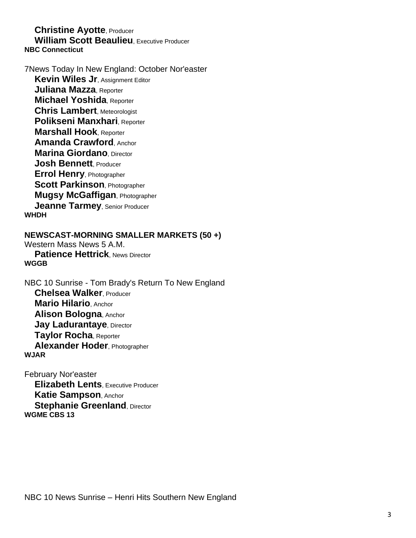#### **Christine Ayotte**, Producer **William Scott Beaulieu**, Executive Producer **NBC Connecticut**

7News Today In New England: October Nor'easter **Kevin Wiles Jr. Assignment Editor Juliana Mazza**, Reporter **Michael Yoshida**, Reporter **Chris Lambert**, Meteorologist **Polikseni Manxhari**, Reporter **Marshall Hook**, Reporter **Amanda Crawford**, Anchor **Marina Giordano** Director **Josh Bennett**, Producer **Errol Henry**, Photographer **Scott Parkinson**, Photographer **Mugsy McGaffigan**, Photographer **Jeanne Tarmey**, Senior Producer **WHDH**

# **NEWSCAST-MORNING SMALLER MARKETS (50 +)**

Western Mass News 5 A.M. **Patience Hettrick, News Director WGGB**

NBC 10 Sunrise - Tom Brady's Return To New England **Chelsea Walker**, Producer **Mario Hilario**, Anchor **Alison Bologna**, Anchor **Jay Ladurantaye, Director Taylor Rocha**, Reporter **Alexander Hoder**, Photographer **WJAR**

February Nor'easter **Elizabeth Lents**, Executive Producer **Katie Sampson**, Anchor **Stephanie Greenland, Director WGME CBS 13**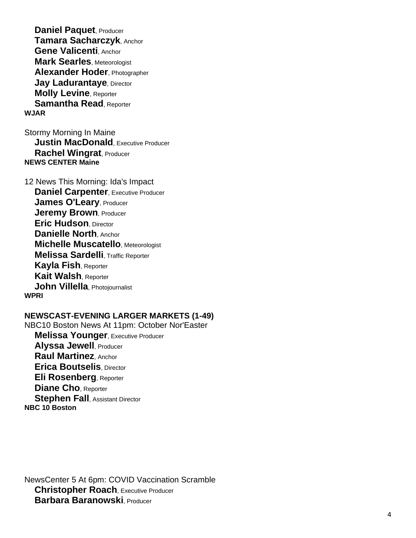**Daniel Paquet**, Producer **Tamara Sacharczyk**, Anchor **Gene Valicenti**, Anchor **Mark Searles**, Meteorologist **Alexander Hoder**, Photographer **Jay Ladurantaye, Director Molly Levine**, Reporter **Samantha Read**, Reporter **WJAR**

Stormy Morning In Maine **Justin MacDonald**, Executive Producer **Rachel Wingrat**, Producer **NEWS CENTER Maine**

12 News This Morning: Ida's Impact **Daniel Carpenter, Executive Producer James O'Leary**, Producer **Jeremy Brown, Producer Eric Hudson**, Director **Danielle North**, Anchor **Michelle Muscatello**, Meteorologist **Melissa Sardelli**, Traffic Reporter **Kayla Fish**, Reporter **Kait Walsh**, Reporter **John Villella**, Photojournalist **WPRI**

#### **NEWSCAST -EVENING LARGER MARKETS (1 -49)**

NBC10 Boston News At 11pm: October Nor'Easter **Melissa Younger**, Executive Producer **Alyssa Jewell**, Producer **Raul Martinez**, Anchor **Erica Boutselis**, Director **Eli Rosenberg**, Reporter **Diane Cho**, Reporter **Stephen Fall**, Assistant Director **NBC 10 Boston**

NewsCenter 5 At 6pm: COVID Vaccination Scramble **Christopher Roach**, Executive Producer **Barbara Baranowski**, Producer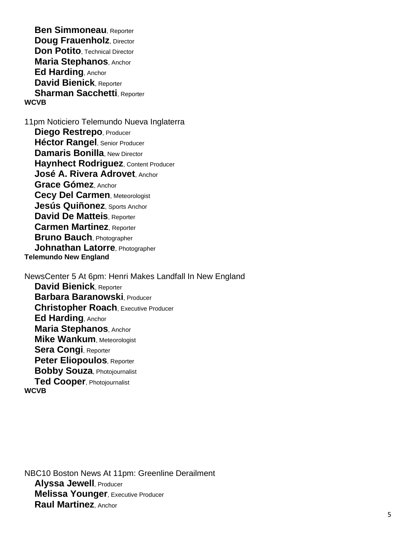**Ben Simmoneau**, Reporter **Doug Frauenholz, Director Don Potito**, Technical Director **Maria Stephanos**, Anchor **Ed Harding**, Anchor **David Bienick**, Reporter **Sharman Sacchetti**, Reporter **WCVB**

11pm Noticiero Telemundo Nueva Inglaterra **Diego Restrepo**, Producer **Héctor Rangel**, Senior Producer **Damaris Bonilla, New Director Haynhect Rodriguez**, Content Producer **José A. Rivera Adrovet**, Anchor **Grace Gómez**, Anchor **Cecy Del Carmen**, Meteorologist **Jesús Quiñonez**, Sports Anchor **David De Matteis**, Reporter **Carmen Martinez**, Reporter **Bruno Bauch**, Photographer **Johnathan Latorre**, Photographer **Telemundo New England**

NewsCenter 5 At 6pm: Henri Makes Landfall In New England **David Bienick**, Reporter **Barbara Baranowski**, Producer **Christopher Roach**, Executive Producer **Ed Harding**, Anchor **Maria Stephanos**, Anchor **Mike Wankum**, Meteorologist **Sera Congi**, Reporter **Peter Eliopoulos**, Reporter **Bobby Souza**, Photojournalist **Ted Cooper**, Photojournalist **WCVB**

NBC10 Boston News At 11pm: Greenline Derailment **Alyssa Jewell, Producer Melissa Younger**, Executive Producer **Raul Martinez**, Anchor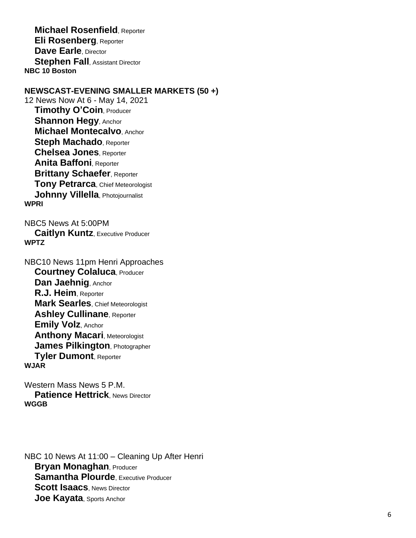**Michael Rosenfield**, Reporter **Eli Rosenberg**, Reporter **Dave Earle**, Director **Stephen Fall, Assistant Director NBC 10 Boston**

# **NEWSCAST -EVENING SMALLER MARKETS (50 +)**

12 News Now At 6 - May 14, 2021 **Timothy O 'Coin**, Producer **Shannon Hegy**, Anchor **Michael Montecalvo**, Anchor **Steph Machado**, Reporter **Chelsea Jones**, Reporter **Anita Baffoni, Reporter Brittany Schaefer, Reporter Tony Petrarca**, Chief Meteorologist **Johnny Villella**, Photojournalist **WPRI**

NBC5 News At 5:00PM **Caitlyn Kuntz**, Executive Producer **WPTZ**

NBC10 News 11pm Henri Approaches **Courtney Colaluca**, Producer **Dan Jaehnig**, Anchor **R.J. Heim**, Reporter **Mark Searles**, Chief Meteorologist **Ashley Cullinane**, Reporter **Emily Volz**, Anchor **Anthony Macari**, Meteorologist **James Pilkington**, Photographer **Tyler Dumont**, Reporter **WJAR**

Western Mass News 5 P.M. **Patience Hettrick, News Director WGGB**

NBC 10 News At 11:00 – Cleaning Up After Henri **Bryan Monaghan**, Producer **Samantha Plourde**, Executive Producer **Scott Isaacs**, News Director **Joe Kayata**, Sports Anchor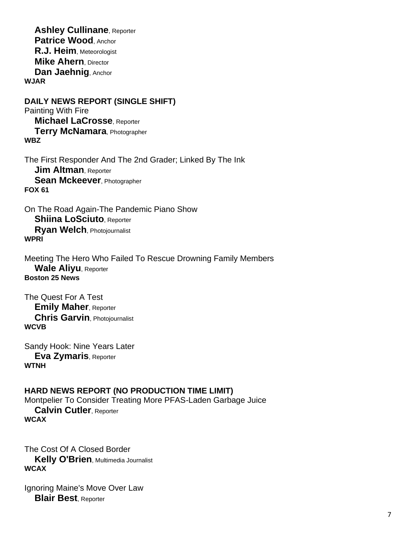**Ashley Cullinane**, Reporter **Patrice Wood**, Anchor **R.J. Heim**, Meteorologist **Mike Ahern**, Director **Dan Jaehnig**, Anchor **WJAR**

**DAILY NEWS REPORT (SINGLE SHIFT)** Painting With Fire **Michael LaCrosse**, Reporter **Terry McNamara**, Photographer **WBZ**

The First Responder And The 2nd Grader; Linked By The Ink **Jim Altman**, Reporter **Sean Mckeever**, Photographer **FOX 61**

On The Road Again-The Pandemic Piano Show **Shiina LoSciuto**, Reporter **Ryan Welch**, Photojournalist **WPRI**

Meeting The Hero Who Failed To Rescue Drowning Family Members **Wale Aliyu**, Reporter **Boston 25 News**

The Quest For A Test **Emily Maher**, Reporter **Chris Garvin**, Photojournalist **WCVB**

Sandy Hook: Nine Years Later **Eva Zymaris**, Reporter **WTNH**

**HARD NEWS REPORT (NO PRODUCTION TIME LIMIT)** Montpelier To Consider Treating More PFAS-Laden Garbage Juice **Calvin Cutler**, Reporter **WCAX**

The Cost Of A Closed Border **Kelly O'Brien**, Multimedia Journalist **WCAX**

Ignoring Maine's Move Over Law **Blair Best**, Reporter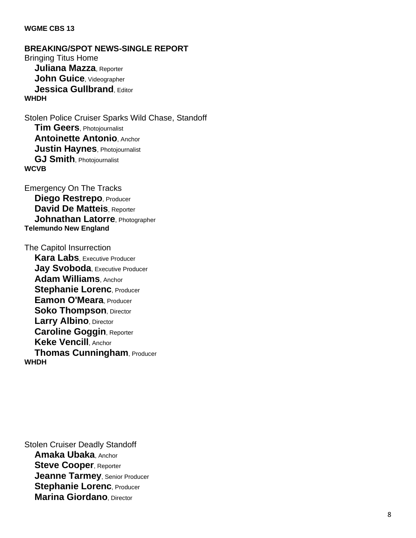#### **WGME CBS 13**

**BREAKING/SPOT NEWS -SINGLE REPORT** Bringing Titus Home **Juliana Mazza**, Reporter **John Guice**, Videographer **Jessica Gullbrand. Editor WHDH**

Stolen Police Cruiser Sparks Wild Chase, Standoff **Tim Geers**, Photojournalist **Antoinette Antonio**, Anchor **Justin Haynes**, Photojournalist **GJ Smith**, Photojournalist **WCVB**

Emergency On The Tracks **Diego Restrepo**, Producer **David De Matteis**, Reporter **Johnathan Latorre**, Photographer **Telemundo New England**

The Capitol Insurrection **Kara Labs**, Executive Producer **Jay Svoboda**, Executive Producer **Adam Williams**, Anchor **Stephanie Lorenc, Producer Eamon O'Meara**, Producer **Soko Thompson, Director Larry Albino**, Director **Caroline Goggin**, Reporter **Keke Vencill**, Anchor **Thomas Cunningham**, Producer **WHDH**

Stolen Cruiser Deadly Standoff **Amaka Ubaka**, Anchor **Steve Cooper**, Reporter **Jeanne Tarmey**, Senior Producer **Stephanie Lorenc, Producer Marina Giordano**, Director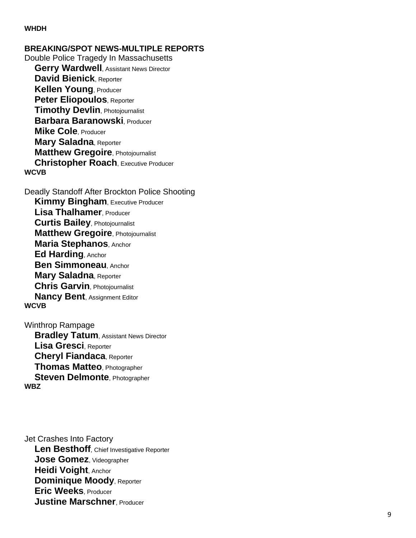#### **WHDH**

**BREAKING/SPOT NEWS -MULTIPLE REPORTS** Double Police Tragedy In Massachusetts **Gerry Wardwell**, Assistant News Director **David Bienick**, Reporter **Kellen Young**, Producer **Peter Eliopoulos**, Reporter **Timothy Devlin**, Photojournalist **Barbara Baranowski**, Producer **Mike Cole**, Producer **Mary Saladna**, Reporter **Matthew Gregoire**, Photojournalist **Christopher Roach**, Executive Producer **WCVB**

Deadly Standoff After Brockton Police Shooting **Kimmy Bingham, Executive Producer Lisa Thalhamer**, Producer **Curtis Bailey**, Photojournalist **Matthew Gregoire**, Photojournalist **Maria Stephanos**, Anchor **Ed Harding**, Anchor **Ben Simmoneau**, Anchor **Mary Saladna**, Reporter **Chris Garvin**, Photojournalist **Nancy Bent**, Assignment Editor **WCVB**

Winthrop Rampage **Bradley Tatum, Assistant News Director Lisa Gresci**, Reporter **Cheryl Fiandaca**, Reporter **Thomas Matteo**, Photographer **Steven Delmonte**, Photographer **WBZ**

Jet Crashes Into Factory **Len Besthoff**, Chief Investigative Reporter **Jose Gomez**, Videographer **Heidi Voight**, Anchor **Dominique Moody**, Reporter **Eric Weeks**, Producer **Justine Marschner**, Producer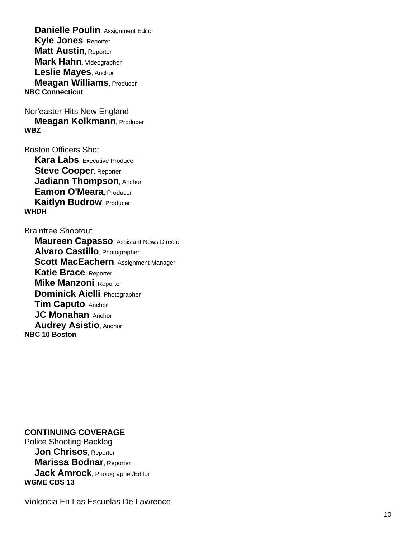**Danielle Poulin, Assignment Editor Kyle Jones**, Reporter **Matt Austin**, Reporter **Mark Hahn**, Videographer **Leslie Mayes**, Anchor **Meagan Williams**, Producer **NBC Connecticut**

Nor'easter Hits New England **Meagan Kolkmann**, Producer **WBZ**

Boston Officers Shot **Kara Labs**, Executive Producer **Steve Cooper, Reporter Jadiann Thompson**, Anchor **Eamon O'Meara**, Producer **Kaitlyn Budrow, Producer WHDH**

#### Braintree Shootout

 **Maureen Capasso**, Assistant News Director **Alvaro Castillo**, Photographer **Scott MacEachern**, Assignment Manager **Katie Brace**, Reporter **Mike Manzoni**, Reporter **Dominick Aielli**, Photographer **Tim Caputo**, Anchor **JC Monahan**, Anchor **Audrey Asistio**, Anchor **NBC 10 Boston**

#### **CONTINUING COVERAGE**

Police Shooting Backlog **Jon Chrisos**, Reporter **Marissa Bodnar**, Reporter **Jack Amrock**, Photographer/Editor **WGME CBS 13**

Violencia En Las Escuelas De Lawrence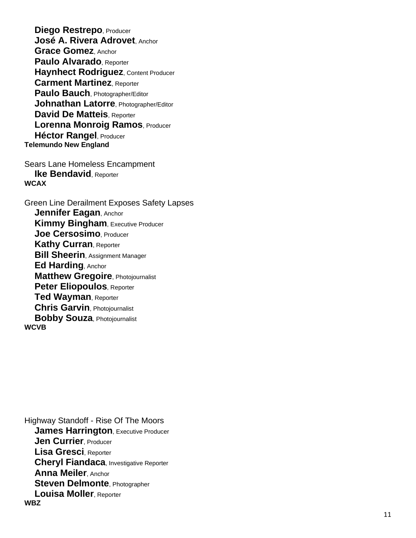**Diego Restrepo**, Producer **José A. Rivera Adrovet**, Anchor **Grace Gomez**, Anchor **Paulo Alvarado**, Reporter **Haynhect Rodriguez**, Content Producer **Carment Martinez**, Reporter **Paulo Bauch**, Photographer/Editor **Johnathan Latorre**, Photographer/Editor **David De Matteis**, Reporter **Lorenna Monroig Ramos**, Producer **Héctor Rangel**, Producer **Telemundo New England**

Sears Lane Homeless Encampment **Ike Bendavid, Reporter WCAX**

Green Line Derailment Exposes Safety Lapses **Jennifer Eagan**, Anchor **Kimmy Bingham, Executive Producer Joe Cersosimo**, Producer **Kathy Curran**, Reporter **Bill Sheerin**, Assignment Manager **Ed Harding**, Anchor **Matthew Gregoire**, Photojournalist **Peter Eliopoulos**, Reporter **Ted Wayman**, Reporter **Chris Garvin**, Photojournalist **Bobby Souza**, Photojournalist **WCVB**

Highway Standoff - Rise Of The Moors **James Harrington, Executive Producer Jen Currier**, Producer **Lisa Gresci**, Reporter **Cheryl Fiandaca**, Investigative Reporter **Anna Meiler**, Anchor **Steven Delmonte**, Photographer **Louisa Moller**, Reporter **WBZ**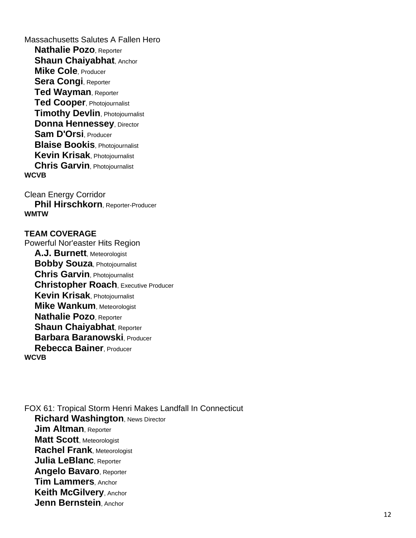Massachusetts Salutes A Fallen Hero **Nathalie Pozo**, Reporter **Shaun Chaiyabhat, Anchor Mike Cole**, Producer **Sera Congi**, Reporter **Ted Wayman**, Reporter **Ted Cooper**, Photojournalist **Timothy Devlin**, Photojournalist **Donna Hennessey, Director Sam D'Orsi**, Producer **Blaise Bookis**, Photojournalist **Kevin Krisak**, Photojournalist **Chris Garvin**, Photojournalist **WCVB**

Clean Energy Corridor **Phil Hirschkorn**, Reporter-Producer **WMTW**

#### **TEAM COVERAGE**

Powerful Nor'easter Hits Region **A.J. Burnett**, Meteorologist **Bobby Souza**, Photojournalist **Chris Garvin**, Photojournalist **Christopher Roach**, Executive Producer **Kevin Krisak**, Photojournalist **Mike Wankum**, Meteorologist **Nathalie Pozo**, Reporter **Shaun Chaiyabhat, Reporter Barbara Baranowski**, Producer **Rebecca Bainer**, Producer **WCVB**

FOX 61: Tropical Storm Henri Makes Landfall In Connecticut **Richard Washington**, News Director **Jim Altman**, Reporter **Matt Scott**, Meteorologist **Rachel Frank**, Meteorologist **Julia LeBlanc**, Reporter **Angelo Bavaro**, Reporter **Tim Lammers**, Anchor **Keith McGilvery**, Anchor **Jenn Bernstein**, Anchor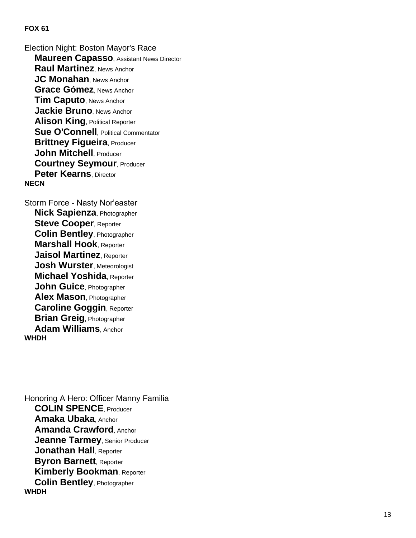Election Night: Boston Mayor's Race **Maureen Capasso**, Assistant News Director **Raul Martinez**, News Anchor **JC Monahan**, News Anchor **Grace Gómez**, News Anchor **Tim Caputo**, News Anchor **Jackie Bruno**, News Anchor **Alison King**, Political Reporter **Sue O'Connell**, Political Commentator **Brittney Figueira**, Producer **John Mitchell**, Producer **Courtney Seymour**, Producer **Peter Kearns**, Director **NECN**

Storm Force - Nasty Nor'easter **Nick Sapienza**, Photographer **Steve Cooper**, Reporter **Colin Bentley**, Photographer **Marshall Hook**, Reporter **Jaisol Martinez**, Reporter **Josh Wurster**, Meteorologist **Michael Yoshida**, Reporter **John Guice**, Photographer **Alex Mason**, Photographer **Caroline Goggin**, Reporter **Brian Greig**, Photographer **Adam Williams**, Anchor **WHDH**

Honoring A Hero: Officer Manny Familia **COLIN SPENCE**, Producer **Amaka Ubaka**, Anchor **Amanda Crawford**, Anchor **Jeanne Tarmey**, Senior Producer **Jonathan Hall**, Reporter **Byron Barnett**, Reporter **Kimberly Bookman**, Reporter **Colin Bentley**, Photographer **WHDH**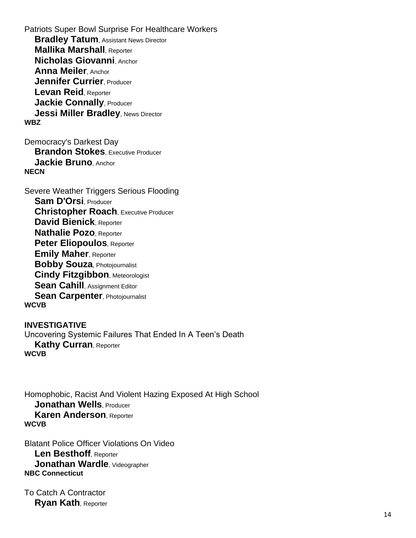Patriots Super Bowl Surprise For Healthcare Workers **Bradley Tatum, Assistant News Director Mallika Marshall**, Reporter **Nicholas Giovanni**, Anchor **Anna Meiler**, Anchor **Jennifer Currier**, Producer **Levan Reid**, Reporter **Jackie Connally, Producer Jessi Miller Bradley, News Director WBZ**

Democracy's Darkest Day **Brandon Stokes**, Executive Producer **Jackie Bruno**, Anchor **NECN**

Severe Weather Triggers Serious Flooding **Sam D'Orsi**, Producer **Christopher Roach**, Executive Producer **David Bienick**, Reporter **Nathalie Pozo**, Reporter **Peter Eliopoulos**, Reporter **Emily Maher**, Reporter **Bobby Souza**, Photojournalist **Cindy Fitzgibbon**, Meteorologist **Sean Cahill**, Assignment Editor **Sean Carpenter, Photojournalist WCVB**

**INVESTIGATIVE** Uncovering Systemic Failures That Ended In A Teen's Death **Kathy Curran**, Reporter **WCVB**

Homophobic, Racist And Violent Hazing Exposed At High School **Jonathan Wells**, Producer **Karen Anderson**, Reporter **WCVB**

Blatant Police Officer Violations On Video **Len Besthoff**, Reporter **Jonathan Wardle**, Videographer **NBC Connecticut**

To Catch A Contractor **Ryan Kath**, Reporter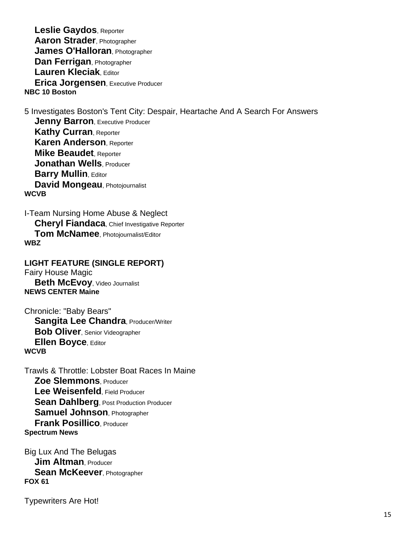**Leslie Gaydos**, Reporter **Aaron Strader**, Photographer **James O'Halloran**, Photographer **Dan Ferrigan**, Photographer **Lauren Kleciak**, Editor **Erica Jorgensen**, Executive Producer **NBC 10 Boston**

5 Investigates Boston's Tent City: Despair, Heartache And A Search For Answers

**Jenny Barron, Executive Producer Kathy Curran**, Reporter **Karen Anderson**, Reporter **Mike Beaudet**, Reporter **Jonathan Wells**, Producer **Barry Mullin, Editor David Mongeau**, Photojournalist **WCVB**

I-Team Nursing Home Abuse & Neglect **Cheryl Fiandaca**, Chief Investigative Reporter **Tom McNamee**, Photojournalist/Editor **WBZ**

**LIGHT FEATURE (SINGLE REPORT)** Fairy House Magic **Beth McEvoy**, Video Journalist

**NEWS CENTER Maine**

Chronicle: "Baby Bears" **Sangita Lee Chandra, Producer/Writer Bob Oliver**, Senior Videographer **Ellen Boyce**, Editor **WCVB**

Trawls & Throttle: Lobster Boat Races In Maine **Zoe Slemmons**, Producer **Lee Weisenfeld**, Field Producer **Sean Dahlberg, Post Production Producer Samuel Johnson**, Photographer **Frank Posillico**, Producer **Spectrum News**

Big Lux And The Belugas **Jim Altman**, Producer **Sean McKeever**, Photographer **FOX 61**

Typewriters Are Hot!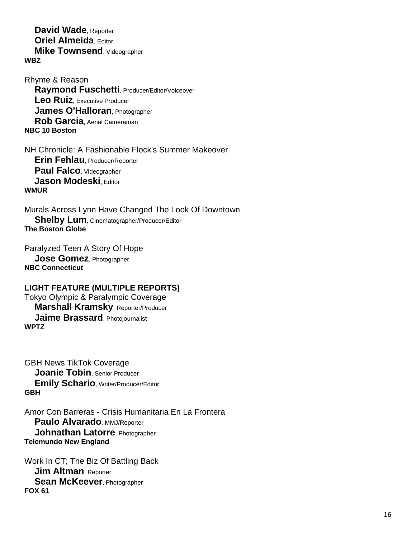**David Wade**, Reporter **Oriel Almeida**, Editor  **Mike Townsend**, Videographer **WBZ**

Rhyme & Reason **Raymond Fuschetti**, Producer/Editor/Voiceover **Leo Ruiz**, Executive Producer **James O'Halloran**, Photographer **Rob Garcia**, Aerial Cameraman **NBC 10 Boston**

NH Chronicle: A Fashionable Flock's Summer Makeover **Erin Fehlau**, Producer/Reporter **Paul Falco**, Videographer **Jason Modeski, Editor WMUR**

Murals Across Lynn Have Changed The Look Of Downtown **Shelby Lum**, Cinematographer/Producer/Editor **The Boston Globe**

Paralyzed Teen A Story Of Hope **Jose Gomez**, Photographer **NBC Connecticut**

# **LIGHT FEATURE (MULTIPLE REPORTS)**

Tokyo Olympic & Paralympic Coverage **Marshall Kramsky**, Reporter/Producer **Jaime Brassard**, Photojournalist **WPTZ**

GBH News TikTok Coverage **Joanie Tobin**, Senior Producer **Emily Schario**, Writer/Producer/Editor **GBH**

Amor Con Barreras - Crisis Humanitaria En La Frontera **Paulo Alvarado, MMJ/Reporter Johnathan Latorre**, Photographer **Telemundo New England**

Work In CT; The Biz Of Battling Back **Jim Altman**, Reporter **Sean McKeever**, Photographer **FOX 61**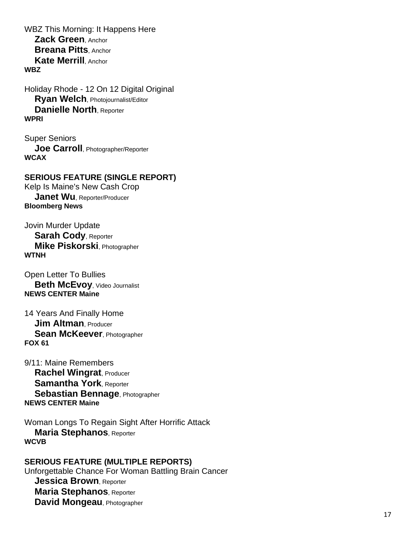WBZ This Morning: It Happens Here **Zack Green**, Anchor **Breana Pitts**, Anchor **Kate Merrill**, Anchor **WBZ**

Holiday Rhode - 12 On 12 Digital Original **Ryan Welch**, Photojournalist/Editor **Danielle North**, Reporter **WPRI**

Super Seniors **Joe Carroll**, Photographer/Reporter **WCAX**

# **SERIOUS FEATURE (SINGLE REPORT)**

Kelp Is Maine's New Cash Crop **Janet Wu**, Reporter/Producer **Bloomberg News**

Jovin Murder Update **Sarah Cody**, Reporter **Mike Piskorski**, Photographer **WTNH**

Open Letter To Bullies **Beth McEvoy**, Video Journalist **NEWS CENTER Maine**

14 Years And Finally Home **Jim Altman**, Producer **Sean McKeever**, Photographer **FOX 61**

9/11: Maine Remembers **Rachel Wingrat**, Producer **Samantha York**, Reporter **Sebastian Bennage**, Photographer **NEWS CENTER Maine**

Woman Longs To Regain Sight After Horrific Attack **Maria Stephanos**, Reporter **WCVB**

**SERIOUS FEATURE (MULTIPLE REPORTS)** Unforgettable Chance For Woman Battling Brain Cancer **Jessica Brown**, Reporter **Maria Stephanos**, Reporter **David Mongeau**, Photographer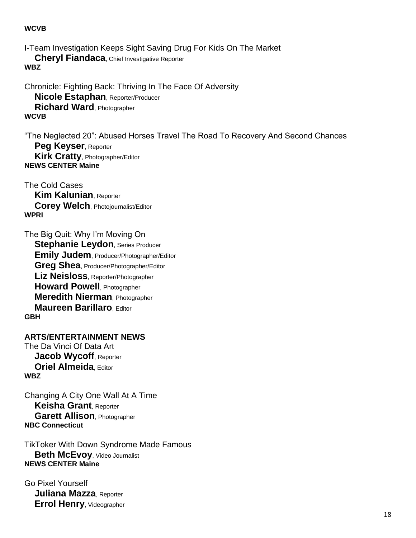#### **WCVB**

I-Team Investigation Keeps Sight Saving Drug For Kids On The Market **Cheryl Fiandaca**, Chief Investigative Reporter **WBZ**

Chronicle: Fighting Back: Thriving In The Face Of Adversity **Nicole Estaphan**, Reporter/Producer **Richard Ward**, Photographer **WCVB**

"The Neglected 20": Abused Horses Travel The Road To Recovery And Second Chances **Peg Keyser**, Reporter **Kirk Cratty**, Photographer/Editor **NEWS CENTER Maine**

The Cold Cases **Kim Kalunian**, Reporter **Corey Welch**, Photojournalist/Editor **WPRI**

The Big Quit: Why I'm Moving On **Stephanie Leydon**, Series Producer **Emily Judem**, Producer/Photographer/Editor **Greg Shea**, Producer/Photographer/Editor **Liz Neisloss**, Reporter/Photographer **Howard Powell**, Photographer **Meredith Nierman**, Photographer **Maureen Barillaro**, Editor **GBH**

**ARTS/ENTERTAINMENT NEWS** The Da Vinci Of Data Art **Jacob Wycoff**, Reporter **Oriel Almeida**, Editor **WBZ**

Changing A City One Wall At A Time **Keisha Grant**, Reporter **Garett Allison**, Photographer **NBC Connecticut**

TikToker With Down Syndrome Made Famous **Beth McEvoy**, Video Journalist **NEWS CENTER Maine**

Go Pixel Yourself **Juliana Mazza**, Reporter **Errol Henry**, Videographer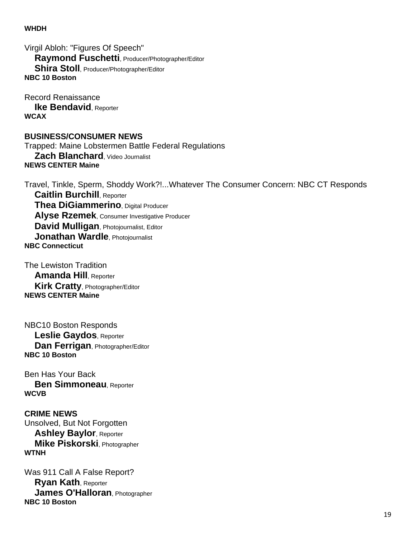#### **WHDH**

Virgil Abloh: "Figures Of Speech" **Raymond Fuschetti**, Producer/Photographer/Editor **Shira Stoll**, Producer/Photographer/Editor **NBC 10 Boston**

Record Renaissance **Ike Bendavid**, Reporter **WCAX**

#### **BUSINESS/CONSUMER NEWS**

Trapped: Maine Lobstermen Battle Federal Regulations **Zach Blanchard**, Video Journalist **NEWS CENTER Maine**

Travel, Tinkle, Sperm, Shoddy Work?!...Whatever The Consumer Concern: NBC CT Responds **Caitlin Burchill**, Reporter **Thea DiGiammerino**, Digital Producer **Alyse Rzemek**, Consumer Investigative Producer **David Mulligan**, Photojournalist, Editor **Jonathan Wardle**, Photojournalist **NBC Connecticut**

The Lewiston Tradition **Amanda Hill**, Reporter **Kirk Cratty**, Photographer/Editor **NEWS CENTER Maine**

NBC10 Boston Responds **Leslie Gaydos**, Reporter **Dan Ferrigan**, Photographer/Editor **NBC 10 Boston**

Ben Has Your Back **Ben Simmoneau**, Reporter **WCVB**

**CRIME NEWS** Unsolved, But Not Forgotten **Ashley Baylor**, Reporter **Mike Piskorski**, Photographer **WTNH**

Was 911 Call A False Report? **Ryan Kath**, Reporter **James O'Halloran**, Photographer **NBC 10 Boston**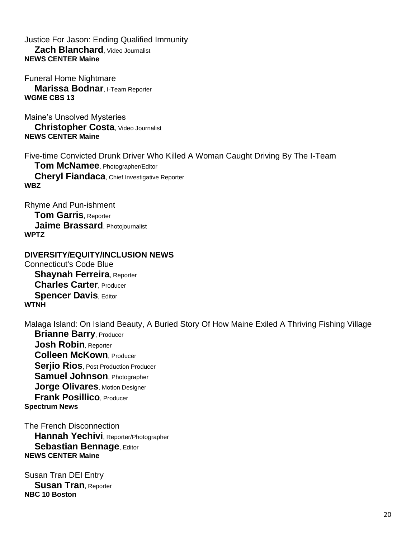# Justice For Jason: Ending Qualified Immunity **Zach Blanchard**, Video Journalist **NEWS CENTER Maine**

Funeral Home Nightmare **Marissa Bodnar**, I-Team Reporter **WGME CBS 13**

Maine's Unsolved Mysteries **Christopher Costa**, Video Journalist **NEWS CENTER Maine**

Five-time Convicted Drunk Driver Who Killed A Woman Caught Driving By The I-Team **Tom McNamee**, Photographer/Editor **Cheryl Fiandaca**, Chief Investigative Reporter **WBZ**

Rhyme And Pun-ishment **Tom Garris**, Reporter **Jaime Brassard**, Photojournalist **WPTZ**

# **DIVERSITY/EQUITY/INCLUSION NEWS**

Connecticut's Code Blue **Shaynah Ferreira**, Reporter **Charles Carter**, Producer **Spencer Davis. Editor WTNH**

Malaga Island: On Island Beauty, A Buried Story Of How Maine Exiled A Thriving Fishing Village **Brianne Barry**, Producer **Josh Robin**, Reporter **Colleen McKown**, Producer **Serjio Rios**, Post Production Producer **Samuel Johnson**, Photographer **Jorge Olivares**, Motion Designer **Frank Posillico**, Producer

**Spectrum News**

The French Disconnection **Hannah Yechivi**, Reporter/Photographer **Sebastian Bennage**, Editor **NEWS CENTER Maine**

Susan Tran DEI Entry **Susan Tran**, Reporter **NBC 10 Boston**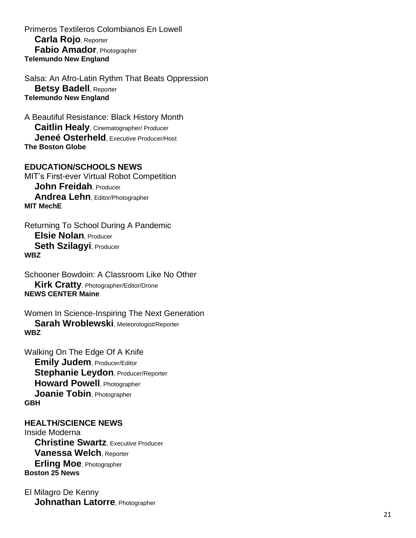Primeros Textileros Colombianos En Lowell **Carla Rojo**, Reporter **Fabio Amador**, Photographer **Telemundo New England**

Salsa: An Afro -Latin Rythm That Beats Oppression **Betsy Badell**, Reporter **Telemundo New England**

A Beautiful Resistance: Black History Month **Caitlin Healy**, Cinematographer/ Producer **Jeneé Osterheld**, Executive Producer/Host **The Boston Globe**

# **EDUCATION/SCHOOLS NEWS**

MIT's First -ever Virtual Robot Competition **John Freidah**, Producer **Andrea Lehn**, Editor/Photographer **MIT MechE**

Returning To School During A Pandemic **Elsie Nolan**, Producer **Seth Szilagyi**, Producer **WBZ**

Schooner Bowdoin: A Classroom Like No Other **Kirk Cratty**, Photographer/Editor/Drone **NEWS CENTER Maine**

Women In Science -Inspiring The Next Generation **Sarah Wroblewski**, Meteorologist/Reporter **WBZ**

Walking On The Edge Of A Knife **Emily Judem**, Producer/Editor **Stephanie Leydon, Producer/Reporter Howard Powell**, Photographer **Joanie Tobin**, Photographer **GBH**

#### **HEALTH/SCIENCE NEWS**

Inside Moderna **Christine Swartz**, Executive Producer **Vanessa Welch**, Reporter **Erling Moe**, Photographer **Boston 25 News**

El Milagro De Kenny **Johnathan Latorre**, Photographer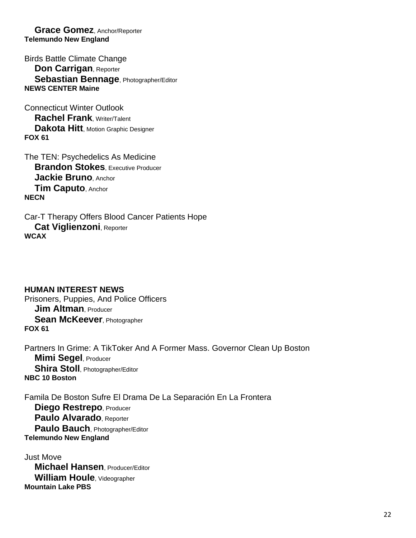**Grace Gomez**, Anchor/Reporter **Telemundo New England**

Birds Battle Climate Change **Don Carrigan**, Reporter **Sebastian Bennage**, Photographer/Editor **NEWS CENTER Maine**

Connecticut Winter Outlook **Rachel Frank**, Writer/Talent **Dakota Hitt**, Motion Graphic Designer **FOX 61**

The TEN: Psychedelics As Medicine **Brandon Stokes**, Executive Producer **Jackie Bruno**, Anchor **Tim Caputo**, Anchor **NECN**

Car-T Therapy Offers Blood Cancer Patients Hope **Cat Viglienzoni**, Reporter **WCAX**

**HUMAN INTEREST NEWS** Prisoners, Puppies, And Police Officers **Jim Altman**, Producer **Sean McKeever**, Photographer **FOX 61**

Partners In Grime: A TikToker And A Former Mass. Governor Clean Up Boston **Mimi Segel**, Producer **Shira Stoll**, Photographer/Editor **NBC 10 Boston**

Famila De Boston Sufre El Drama De La Separación En La Frontera **Diego Restrepo**, Producer **Paulo Alvarado**, Reporter **Paulo Bauch**, Photographer/Editor **Telemundo New England**

Just Move **Michael Hansen**, Producer/Editor **William Houle**, Videographer **Mountain Lake PBS**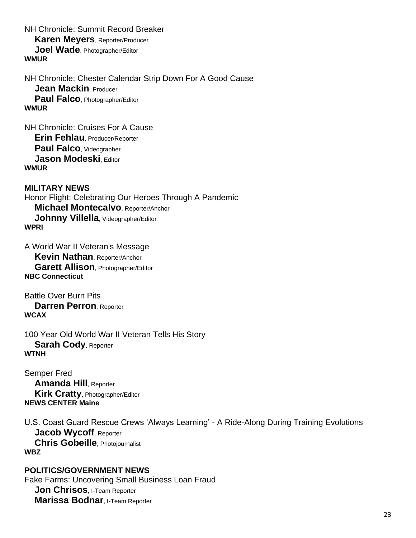NH Chronicle: Summit Record Breaker **Karen Meyers**, Reporter/Producer **Joel Wade**, Photographer/Editor **WMUR**

NH Chronicle: Chester Calendar Strip Down For A Good Cause **Jean Mackin**, Producer **Paul Falco**, Photographer/Editor **WMUR**

NH Chronicle: Cruises For A Cause **Erin Fehlau**, Producer/Reporter **Paul Falco**, Videographer **Jason Modeski**, Editor **WMUR**

**MILITARY NEWS** Honor Flight: Celebrating Our Heroes Through A Pandemic **Michael Montecalvo**, Reporter/Anchor **Johnny Villella**, Videographer/Editor **WPRI**

A World War II Veteran's Message **Kevin Nathan**, Reporter/Anchor **Garett Allison**, Photographer/Editor **NBC Connecticut**

Battle Over Burn Pits **Darren Perron**, Reporter **WCAX**

100 Year Old World War II Veteran Tells His Story **Sarah Cody**, Reporter **WTNH**

Semper Fred **Amanda Hill**, Reporter **Kirk Cratty**, Photographer/Editor **NEWS CENTER Maine**

U.S. Coast Guard Rescue Crews 'Always Learning' - A Ride-Along During Training Evolutions **Jacob Wycoff**, Reporter **Chris Gobeille**, Photojournalist **WBZ**

**POLITICS/GOVERNMENT NEWS** Fake Farms: Uncovering Small Business Loan Fraud **Jon Chrisos**, I-Team Reporter **Marissa Bodnar**, I-Team Reporter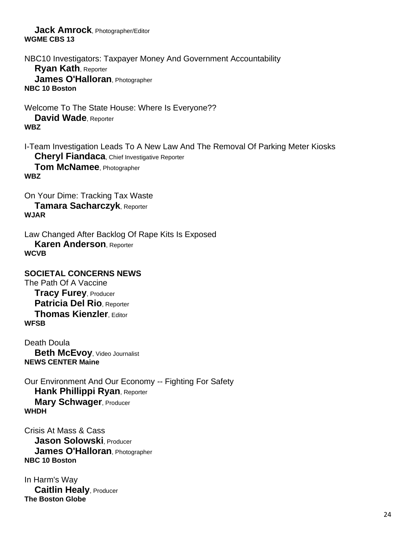**Jack Amrock**, Photographer/Editor **WGME CBS 13**

NBC10 Investigators: Taxpayer Money And Government Accountability **Ryan Kath**, Reporter **James O'Halloran**, Photographer **NBC 10 Boston**

Welcome To The State House: Where Is Everyone?? **David Wade**, Reporter **WBZ**

I-Team Investigation Leads To A New Law And The Removal Of Parking Meter Kiosks **Cheryl Fiandaca, Chief Investigative Reporter Tom McNamee**, Photographer **WBZ**

On Your Dime: Tracking Tax Waste **Tamara Sacharczyk**, Reporter **WJAR**

Law Changed After Backlog Of Rape Kits Is Exposed **Karen Anderson**, Reporter **WCVB**

**SOCIETAL CONCERNS NEWS** The Path Of A Vaccine **Tracy Furey**, Producer **Patricia Del Rio**, Reporter **Thomas Kienzler**, Editor **WFSB**

Death Doula **Beth McEvoy**, Video Journalist **NEWS CENTER Maine**

Our Environment And Our Economy -- Fighting For Safety **Hank Phillippi Ryan**, Reporter **Mary Schwager**, Producer **WHDH**

Crisis At Mass & Cass **Jason Solowski**, Producer **James O'Halloran**, Photographer **NBC 10 Boston**

In Harm's Way **Caitlin Healy**, Producer **The Boston Globe**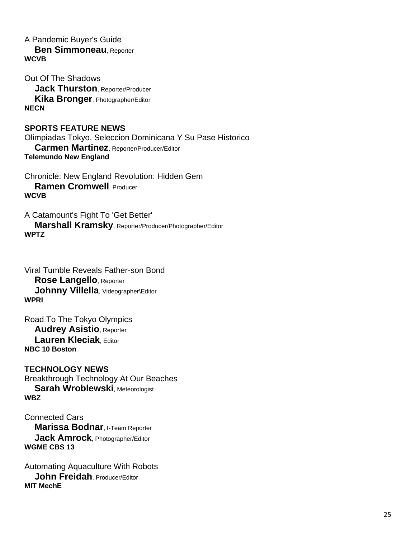A Pandemic Buyer's Guide

 **Ben Simmoneau**, Reporter **WCVB**

Out Of The Shadows **Jack Thurston**, Reporter/Producer **Kika Bronger**, Photographer/Editor **NECN**

#### **SPORTS FEATURE NEWS**

Olimpiadas Tokyo, Seleccion Dominicana Y Su Pase Historico **Carmen Martinez**, Reporter/Producer/Editor **Telemundo New England**

Chronicle: New England Revolution: Hidden Gem **Ramen Cromwell**, Producer **WCVB**

A Catamount's Fight To 'Get Better' **Marshall Kramsky**, Reporter/Producer/Photographer/Editor **WPTZ**

Viral Tumble Reveals Father-son Bond **Rose Langello**, Reporter Johnny Villella, Videographer\Editor **WPRI**

Road To The Tokyo Olympics **Audrey Asistio**, Reporter **Lauren Kleciak**, Editor **NBC 10 Boston**

**TECHNOLOGY NEWS** Breakthrough Technology At Our Beaches **Sarah Wroblewski**, Meteorologist **WBZ**

Connected Cars **Marissa Bodnar**, I-Team Reporter **Jack Amrock**, Photographer/Editor **WGME CBS 13**

Automating Aquaculture With Robots **John Freidah**, Producer/Editor **MIT MechE**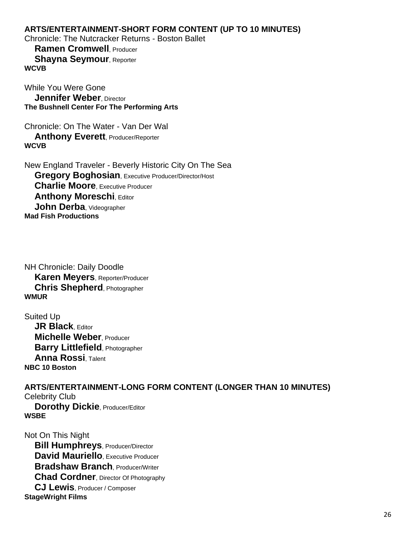# **ARTS/ENTERTAINMENT-SHORT FORM CONTENT (UP TO 10 MINUTES)**

Chronicle: The Nutcracker Returns - Boston Ballet

 **Ramen Cromwell**, Producer **Shayna Seymour, Reporter WCVB**

While You Were Gone **Jennifer Weber**, Director **The Bushnell Center For The Performing Arts**

Chronicle: On The Water - Van Der Wal **Anthony Everett, Producer/Reporter WCVB**

New England Traveler - Beverly Historic City On The Sea **Gregory Boghosian**, Executive Producer/Director/Host **Charlie Moore**, Executive Producer **Anthony Moreschi, Editor John Derba**, Videographer **Mad Fish Productions**

NH Chronicle: Daily Doodle **Karen Meyers**, Reporter/Producer **Chris Shepherd**, Photographer **WMUR**

Suited Up **JR Black, Editor Michelle Weber**, Producer **Barry Littlefield**, Photographer **Anna Rossi**, Talent **NBC 10 Boston**

**ARTS/ENTERTAINMENT-LONG FORM CONTENT (LONGER THAN 10 MINUTES)** Celebrity Club **Dorothy Dickie**, Producer/Editor **WSBE**

Not On This Night **Bill Humphreys**, Producer/Director **David Mauriello**, Executive Producer **Bradshaw Branch**, Producer/Writer **Chad Cordner**, Director Of Photography **CJ Lewis**, Producer / Composer **StageWright Films**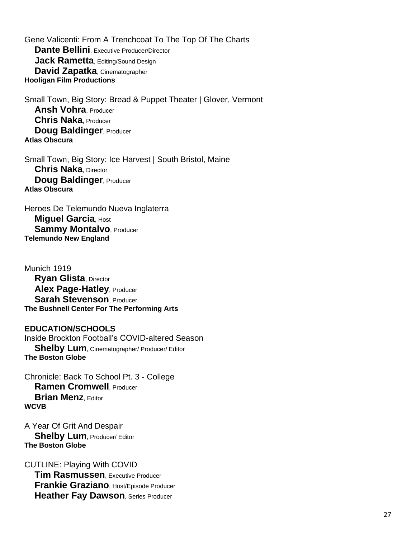Gene Valicenti: From A Trenchcoat To The Top Of The Charts **Dante Bellini**, Executive Producer/Director **Jack Rametta, Editing/Sound Design David Zapatka**, Cinematographer **Hooligan Film Productions**

Small Town, Big Story: Bread & Puppet Theater | Glover, Vermont **Ansh Vohra**, Producer **Chris Naka**, Producer **Doug Baldinger, Producer Atlas Obscura**

Small Town, Big Story: Ice Harvest | South Bristol, Maine **Chris Naka**, Director **Doug Baldinger, Producer Atlas Obscura**

Heroes De Telemundo Nueva Inglaterra **Miguel Garcia**, Host **Sammy Montalvo, Producer Telemundo New England**

Munich 1919 **Ryan Glista**, Director **Alex Page-Hatley**, Producer **Sarah Stevenson**, Producer **The Bushnell Center For The Performing Arts**

**EDUCATION/SCHOOLS** Inside Brockton Football's COVID-altered Season **Shelby Lum**, Cinematographer/ Producer/ Editor **The Boston Globe**

Chronicle: Back To School Pt. 3 - College **Ramen Cromwell**, Producer **Brian Menz**, Editor **WCVB**

A Year Of Grit And Despair **Shelby Lum**, Producer/ Editor **The Boston Globe**

CUTLINE: Playing With COVID **Tim Rasmussen**, Executive Producer **Frankie Graziano**, Host/Episode Producer **Heather Fay Dawson, Series Producer**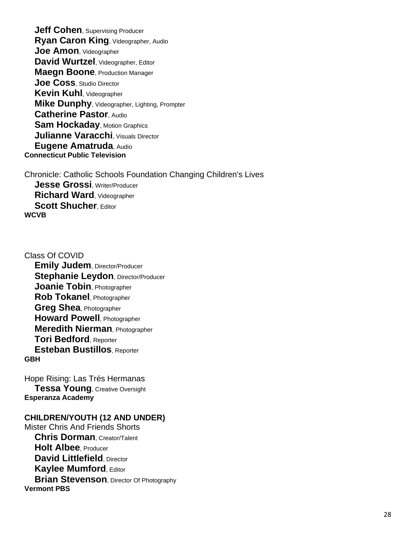**Jeff Cohen**, Supervising Producer **Ryan Caron King**, Videographer, Audio **Joe Amon**, Videographer **David Wurtzel**, Videographer, Editor **Maegn Boone**, Production Manager **Joe Coss**, Studio Director **Kevin Kuhl**, Videographer **Mike Dunphy**, Videographer, Lighting, Prompter **Catherine Pastor**, Audio **Sam Hockaday, Motion Graphics Julianne Varacchi**, Visuals Director **Eugene Amatruda**, Audio **Connecticut Public Television**

Chronicle: Catholic Schools Foundation Changing Children's Lives **Jesse Grossi**, Writer/Producer **Richard Ward**, Videographer **Scott Shucher, Editor WCVB**

Class Of COVID **Emily Judem**, Director/Producer **Stephanie Leydon, Director/Producer Joanie Tobin**, Photographer **Rob Tokanel**, Photographer **Greg Shea**, Photographer **Howard Powell**, Photographer **Meredith Nierman**, Photographer **Tori Bedford**, Reporter **Esteban Bustillos**, Reporter **GBH**

Hope Rising: Las Trés Hermanas **Tessa Young**, Creative Oversight **Esperanza Academy**

#### **CHILDREN/YOUTH (12 AND UNDER)**

Mister Chris And Friends Shorts **Chris Dorman**, Creator/Talent **Holt Albee**, Producer **David Littlefield**, Director **Kaylee Mumford**, Editor **Brian Stevenson**, Director Of Photography **Vermont PBS**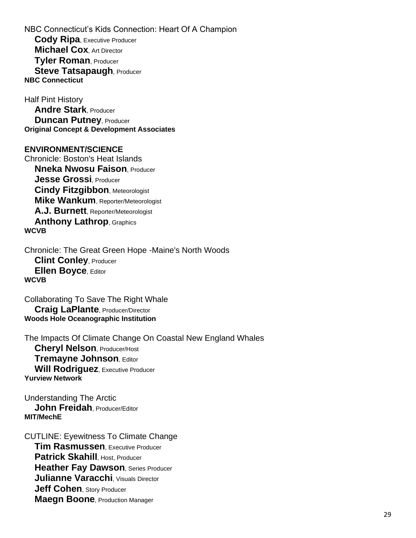NBC Connecticut's Kids Connection: Heart Of A Champion **Cody Ripa**, Executive Producer **Michael Cox**, Art Director **Tyler Roman**, Producer **Steve Tatsapaugh, Producer NBC Connecticut**

Half Pint History **Andre Stark**, Producer **Duncan Putney, Producer Original Concept & Development Associates**

#### **ENVIRONMENT/SCIENCE**

Chronicle: Boston's Heat Islands **Nneka Nwosu Faison**, Producer **Jesse Grossi**, Producer **Cindy Fitzgibbon**, Meteorologist **Mike Wankum**, Reporter/Meteorologist **A.J. Burnett**, Reporter/Meteorologist **Anthony Lathrop**, Graphics **WCVB**

Chronicle: The Great Green Hope -Maine's North Woods **Clint Conley**, Producer **Ellen Boyce**, Editor **WCVB**

Collaborating To Save The Right Whale **Craig LaPlante**, Producer/Director **Woods Hole Oceanographic Institution**

The Impacts Of Climate Change On Coastal New England Whales **Cheryl Nelson**, Producer/Host **Tremayne Johnson**, Editor **Will Rodriguez**, Executive Producer **Yurview Network**

Understanding The Arctic **John Freidah**, Producer/Editor **MIT/MechE**

CUTLINE: Eyewitness To Climate Change **Tim Rasmussen**, Executive Producer **Patrick Skahill**, Host, Producer **Heather Fay Dawson, Series Producer Julianne Varacchi**, Visuals Director **Jeff Cohen**, Story Producer **Maegn Boone**, Production Manager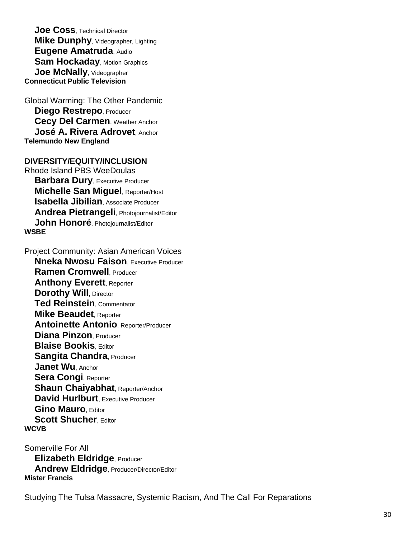**Joe Coss**, Technical Director **Mike Dunphy**, Videographer, Lighting **Eugene Amatruda**, Audio **Sam Hockaday, Motion Graphics Joe McNally**, Videographer **Connecticut Public Television**

Global Warming: The Other Pandemic **Diego Restrepo**, Producer **Cecy Del Carmen**, Weather Anchor **José A. Rivera Adrovet**, Anchor **Telemundo New England**

**DIVERSITY/EQUITY/INCLUSION** Rhode Island PBS WeeDoulas **Barbara Dury**, Executive Producer **Michelle San Miguel**, Reporter/Host **Isabella Jibilian**, Associate Producer **Andrea Pietrangeli**, Photojournalist/Editor **John Honoré**, Photojournalist/Editor **WSBE**

Project Community: Asian American Voices **Nneka Nwosu Faison**, Executive Producer **Ramen Cromwell**, Producer **Anthony Everett**, Reporter **Dorothy Will, Director Ted Reinstein**, Commentator **Mike Beaudet**, Reporter **Antoinette Antonio**, Reporter/Producer **Diana Pinzon**, Producer **Blaise Bookis**, Editor **Sangita Chandra**, Producer **Janet Wu**, Anchor **Sera Congi**, Reporter **Shaun Chaiyabhat**, Reporter/Anchor **David Hurlburt** Executive Producer **Gino Mauro**, Editor **Scott Shucher, Editor WCVB**

Somerville For All **Elizabeth Eldridge**, Producer **Andrew Eldridge**, Producer/Director/Editor **Mister Francis**

Studying The Tulsa Massacre, Systemic Racism, And The Call For Reparations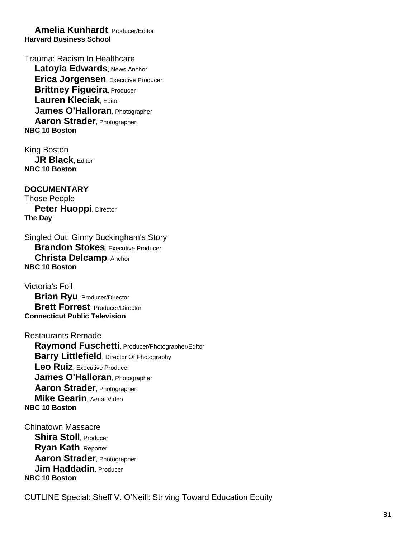**Amelia Kunhardt**, Producer/Editor **Harvard Business School**

Trauma: Racism In Healthcare **Latoyia Edwards**, News Anchor **Erica Jorgensen**, Executive Producer **Brittney Figueira, Producer Lauren Kleciak**, Editor **James O'Halloran**, Photographer **Aaron Strader**, Photographer **NBC 10 Boston**

King Boston **JR Black**, Editor **NBC 10 Boston**

**DOCUMENTARY** Those People **Peter Huoppi, Director The Day**

Singled Out: Ginny Buckingham's Story **Brandon Stokes**, Executive Producer **Christa Delcamp**, Anchor **NBC 10 Boston**

Victoria's Foil **Brian Ryu**, Producer/Director **Brett Forrest**, Producer/Director **Connecticut Public Television**

Restaurants Remade **Raymond Fuschetti**, Producer/Photographer/Editor **Barry Littlefield**, Director Of Photography **Leo Ruiz**, Executive Producer **James O'Halloran**, Photographer **Aaron Strader**, Photographer **Mike Gearin**, Aerial Video **NBC 10 Boston**

Chinatown Massacre **Shira Stoll**, Producer **Ryan Kath**, Reporter **Aaron Strader**, Photographer **Jim Haddadin**, Producer **NBC 10 Boston**

CUTLINE Special: Sheff V. O'Neill: Striving Toward Education Equity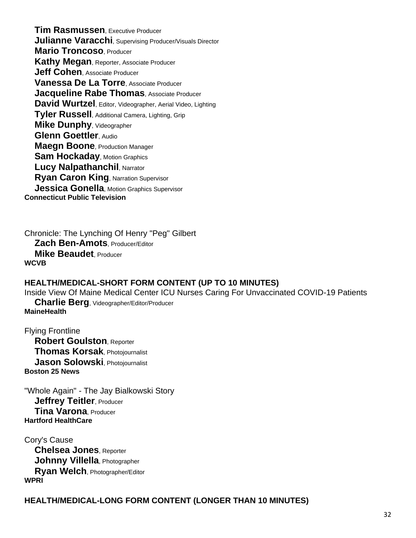**Tim Rasmussen**, Executive Producer **Julianne Varacchi**, Supervising Producer/Visuals Director **Mario Troncoso**, Producer **Kathy Megan**, Reporter, Associate Producer **Jeff Cohen**, Associate Producer **Vanessa De La Torre**, Associate Producer **Jacqueline Rabe Thomas**, Associate Producer **David Wurtzel**, Editor, Videographer, Aerial Video, Lighting **Tyler Russell**, Additional Camera, Lighting, Grip **Mike Dunphy**, Videographer **Glenn Goettler**, Audio **Maegn Boone**, Production Manager **Sam Hockaday, Motion Graphics Lucy Nalpathanchil, Narrator Ryan Caron King**, Narration Supervisor **Jessica Gonella**, Motion Graphics Supervisor **Connecticut Public Television**

Chronicle: The Lynching Of Henry "Peg" Gilbert **Zach Ben-Amots**, Producer/Editor **Mike Beaudet**, Producer **WCVB**

#### **HEALTH/MEDICAL-SHORT FORM CONTENT (UP TO 10 MINUTES)**

Inside View Of Maine Medical Center ICU Nurses Caring For Unvaccinated COVID-19 Patients

 **Charlie Berg**, Videographer/Editor/Producer **MaineHealth**

Flying Frontline **Robert Goulston**, Reporter **Thomas Korsak**, Photojournalist **Jason Solowski**, Photojournalist **Boston 25 News**

"Whole Again" - The Jay Bialkowski Story **Jeffrey Teitler, Producer Tina Varona**, Producer **Hartford HealthCare**

Cory's Cause **Chelsea Jones**, Reporter **Johnny Villella**, Photographer **Ryan Welch**, Photographer/Editor **WPRI**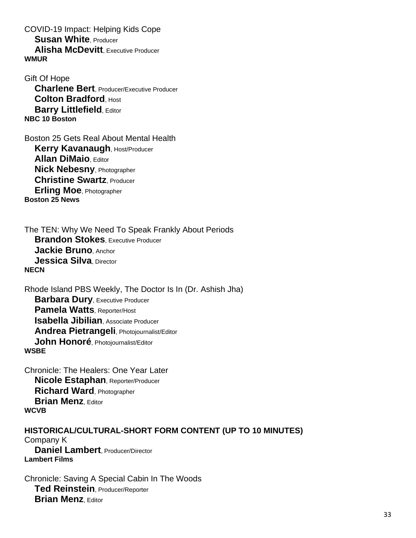COVID-19 Impact: Helping Kids Cope **Susan White**, Producer **Alisha McDevitt**, Executive Producer **WMUR**

Gift Of Hope **Charlene Bert**, Producer/Executive Producer **Colton Bradford**, Host **Barry Littlefield. Editor NBC 10 Boston**

Boston 25 Gets Real About Mental Health **Kerry Kavanaugh, Host/Producer Allan DiMaio**, Editor **Nick Nebesny**, Photographer **Christine Swartz**, Producer **Erling Moe**, Photographer **Boston 25 News**

The TEN: Why We Need To Speak Frankly About Periods **Brandon Stokes**, Executive Producer **Jackie Bruno**, Anchor **Jessica Silva**, Director **NECN**

Rhode Island PBS Weekly, The Doctor Is In (Dr. Ashish Jha) **Barbara Dury**, Executive Producer **Pamela Watts**, Reporter/Host **Isabella Jibilian**, Associate Producer **Andrea Pietrangeli**, Photojournalist/Editor **John Honoré**, Photojournalist/Editor **WSBE**

Chronicle: The Healers: One Year Later **Nicole Estaphan**, Reporter/Producer **Richard Ward**, Photographer **Brian Menz**, Editor **WCVB**

**HISTORICAL/CULTURAL-SHORT FORM CONTENT (UP TO 10 MINUTES)** Company K **Daniel Lambert**, Producer/Director **Lambert Films**

Chronicle: Saving A Special Cabin In The Woods **Ted Reinstein**, Producer/Reporter **Brian Menz**, Editor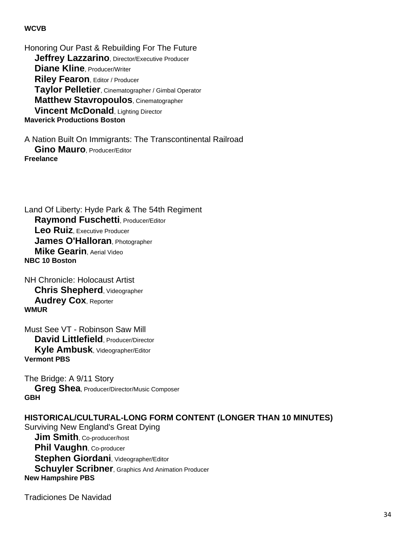#### **WCVB**

Honoring Our Past & Rebuilding For The Future **Jeffrey Lazzarino**, Director/Executive Producer **Diane Kline**, Producer/Writer **Riley Fearon**, Editor / Producer **Taylor Pelletier**, Cinematographer / Gimbal Operator **Matthew Stavropoulos**, Cinematographer **Vincent McDonald**, Lighting Director **Maverick Productions Boston**

A Nation Built On Immigrants: The Transcontinental Railroad **Gino Mauro**, Producer/Editor **Freelance**

Land Of Liberty: Hyde Park & The 54th Regiment **Raymond Fuschetti**, Producer/Editor **Leo Ruiz**, Executive Producer **James O'Halloran**, Photographer **Mike Gearin**, Aerial Video **NBC 10 Boston**

NH Chronicle: Holocaust Artist **Chris Shepherd**, Videographer **Audrey Cox**, Reporter **WMUR**

Must See VT - Robinson Saw Mill **David Littlefield**, Producer/Director **Kyle Ambusk**, Videographer/Editor **Vermont PBS**

The Bridge: A 9/11 Story **Greg Shea**, Producer/Director/Music Composer **GBH**

# **HISTORICAL/CULTURAL-LONG FORM CONTENT (LONGER THAN 10 MINUTES)** Surviving New England's Great Dying **Jim Smith**, Co-producer/host **Phil Vaughn, Co-producer Stephen Giordani**, Videographer/Editor **Schuyler Scribner**, Graphics And Animation Producer **New Hampshire PBS**

Tradiciones De Navidad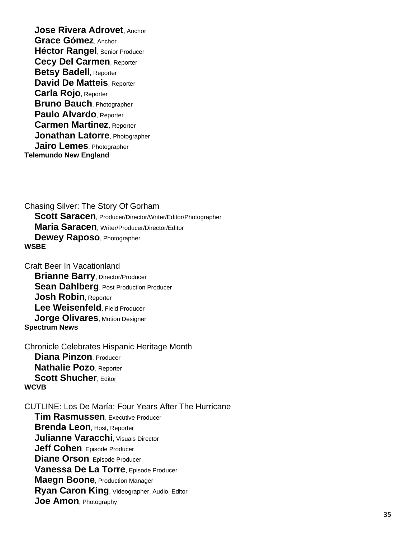**Jose Rivera Adrovet**, Anchor **Grace Gómez**, Anchor **Héctor Rangel**, Senior Producer **Cecy Del Carmen**, Reporter **Betsy Badell**, Reporter **David De Matteis**, Reporter **Carla Rojo**, Reporter **Bruno Bauch**, Photographer **Paulo Alvardo**, Reporter **Carmen Martinez**, Reporter **Jonathan Latorre**, Photographer **Jairo Lemes**, Photographer **Telemundo New England**

Chasing Silver: The Story Of Gorham **Scott Saracen**, Producer/Director/Writer/Editor/Photographer **Maria Saracen**, Writer/Producer/Director/Editor **Dewey Raposo**, Photographer **WSBE**

Craft Beer In Vacationland **Brianne Barry, Director/Producer Sean Dahlberg**, Post Production Producer **Josh Robin**, Reporter **Lee Weisenfeld**, Field Producer **Jorge Olivares**, Motion Designer **Spectrum News**

Chronicle Celebrates Hispanic Heritage Month **Diana Pinzon**, Producer **Nathalie Pozo**, Reporter **Scott Shucher, Editor WCVB**

CUTLINE: Los De María: Four Years After The Hurricane

 **Tim Rasmussen**, Executive Producer **Brenda Leon**, Host, Reporter **Julianne Varacchi**, Visuals Director **Jeff Cohen**, Episode Producer **Diane Orson**, Episode Producer **Vanessa De La Torre**, Episode Producer **Maegn Boone**, Production Manager **Ryan Caron King**, Videographer, Audio, Editor **Joe Amon**, Photography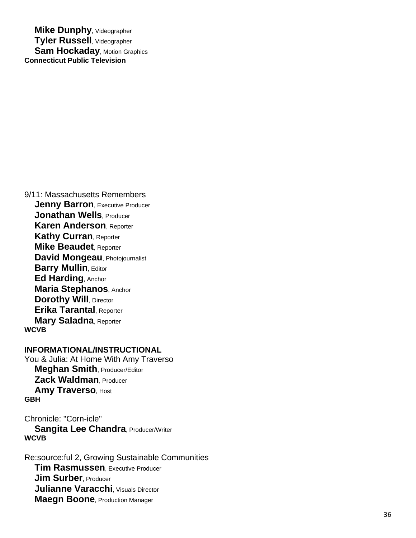**Mike Dunphy**, Videographer **Tyler Russell**, Videographer **Sam Hockaday, Motion Graphics Connecticut Public Television**

9/11: Massachusetts Remembers **Jenny Barron, Executive Producer Jonathan Wells**, Producer **Karen Anderson**, Reporter **Kathy Curran**, Reporter **Mike Beaudet**, Reporter **David Mongeau**, Photojournalist **Barry Mullin, Editor Ed Harding**, Anchor **Maria Stephanos**, Anchor **Dorothy Will, Director Erika Tarantal**, Reporter **Mary Saladna**, Reporter **WCVB**

# **INFORMATIONAL/INSTRUCTIONAL**

You & Julia: At Home With Amy Traverso **Meghan Smith**, Producer/Editor **Zack Waldman**, Producer **Amy Traverso, Host GBH**

Chronicle: "Corn-icle" **Sangita Lee Chandra, Producer/Writer WCVB**

Re:source:ful 2, Growing Sustainable Communities **Tim Rasmussen.** Executive Producer **Jim Surber, Producer Julianne Varacchi**, Visuals Director **Maegn Boone**, Production Manager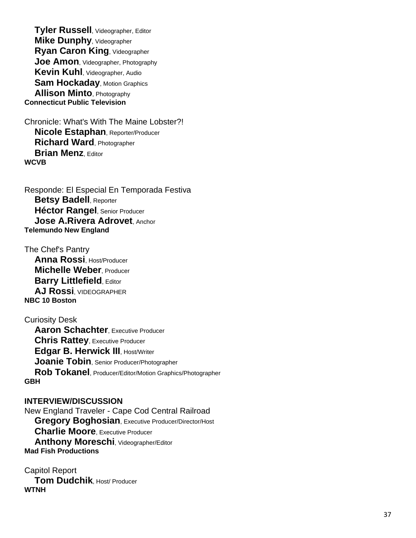**Tyler Russell**, Videographer, Editor **Mike Dunphy**, Videographer **Ryan Caron King**, Videographer **Joe Amon**, Videographer, Photography **Kevin Kuhl**, Videographer, Audio **Sam Hockaday**, Motion Graphics **Allison Minto**, Photography **Connecticut Public Television**

Chronicle: What's With The Maine Lobster?! **Nicole Estaphan**, Reporter/Producer **Richard Ward**, Photographer **Brian Menz.** Editor **WCVB**

Responde: El Especial En Temporada Festiva **Betsy Badell**, Reporter **Héctor Rangel**, Senior Producer **Jose A.Rivera Adrovet**, Anchor **Telemundo New England**

The Chef's Pantry **Anna Rossi**, Host/Producer **Michelle Weber**, Producer **Barry Littlefield. Editor AJ Rossi**, VIDEOGRAPHER **NBC 10 Boston**

# Curiosity Desk **Aaron Schachter**, Executive Producer **Chris Rattey**, Executive Producer **Edgar B. Herwick III**, Host/Writer **Joanie Tobin**, Senior Producer/Photographer **Rob Tokanel**, Producer/Editor/Motion Graphics /Photographer **GBH**

**INTERVIEW/DISCUSSION** New England Traveler - Cape Cod Central Railroad **Gregory Boghosian**, Executive Producer/Director/Host **Charlie Moore**, Executive Producer **Anthony Moreschi**, Videographer/Editor **Mad Fish Productions**

Capitol Report **Tom Dudchik**, Host/ Producer **WTNH**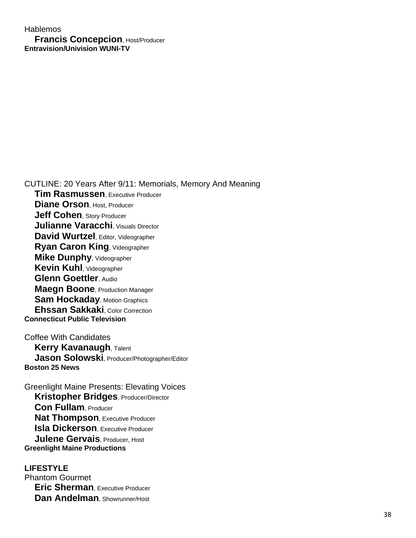# **Hablemos Francis Concepcion**, Host/Producer **Entravision/Univision WUNI-TV**

CUTLINE: 20 Years After 9/11: Memorials, Memory And Meaning **Tim Rasmussen**, Executive Producer **Diane Orson**, Host, Producer **Jeff Cohen**, Story Producer **Julianne Varacchi**, Visuals Director **David Wurtzel**, Editor, Videographer **Ryan Caron King**, Videographer **Mike Dunphy**, Videographer **Kevin Kuhl**, Videographer **Glenn Goettler**, Audio **Maegn Boone**, Production Manager **Sam Hockaday, Motion Graphics Ehssan Sakkaki**, Color Correction **Connecticut Public Television** Coffee With Candidates

**Kerry Kavanaugh, Talent Jason Solowski**, Producer/Photographer/Editor **Boston 25 News**

Greenlight Maine Presents: Elevating Voices **Kristopher Bridges**, Producer/Director **Con Fullam**, Producer **Nat Thompson**, Executive Producer **Isla Dickerson**, Executive Producer **Julene Gervais**, Producer, Host **Greenlight Maine Productions**

**LIFESTYLE** Phantom Gourmet **Eric Sherman**, Executive Producer **Dan Andelman**, Showrunner/Host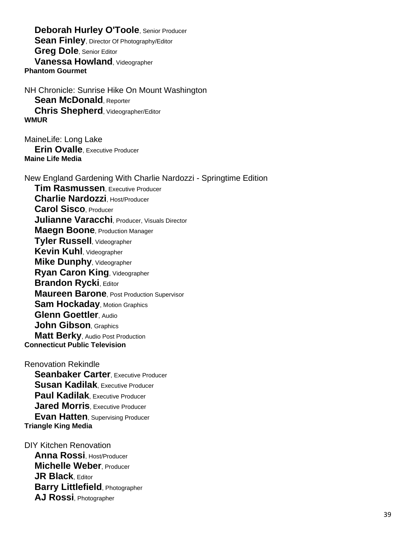**Deborah Hurley O'Toole**, Senior Producer **Sean Finley**, Director Of Photography/Editor **Greg Dole**, Senior Editor **Vanessa Howland**, Videographer **Phantom Gourmet**

NH Chronicle: Sunrise Hike On Mount Washington **Sean McDonald**, Reporter **Chris Shepherd**, Videographer/Editor **WMUR**

MaineLife: Long Lake **Erin Ovalle**, Executive Producer **Maine Life Media**

New England Gardening With Charlie Nardozzi - Springtime Edition **Tim Rasmussen**, Executive Producer **Charlie Nardozzi**, Host/Producer **Carol Sisco**, Producer **Julianne Varacchi**, Producer, Visuals Director **Maegn Boone**, Production Manager **Tyler Russell**, Videographer **Kevin Kuhl**, Videographer **Mike Dunphy**, Videographer **Ryan Caron King**, Videographer **Brandon Rycki**, Editor **Maureen Barone**, Post Production Supervisor **Sam Hockaday, Motion Graphics Glenn Goettler**, Audio **John Gibson**, Graphics **Matt Berky, Audio Post Production Connecticut Public Television**

Renovation Rekindle **Seanbaker Carter**, Executive Producer **Susan Kadilak**, Executive Producer **Paul Kadilak**, Executive Producer **Jared Morris**, Executive Producer **Evan Hatten**, Supervising Producer **Triangle King Media**

DIY Kitchen Renovation **Anna Rossi**, Host/Producer **Michelle Weber**, Producer **JR Black**, Editor **Barry Littlefield**, Photographer **AJ Rossi**, Photographer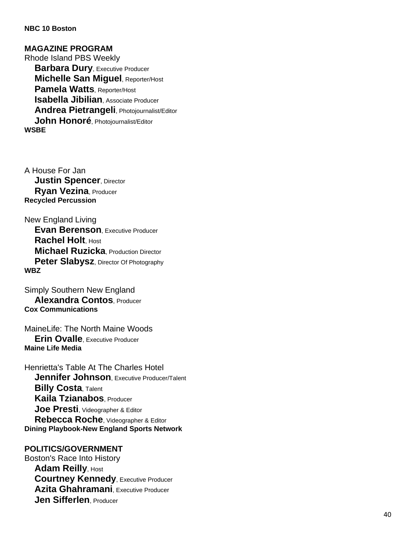#### **NBC 10 Boston**

**MAGAZINE PROGRAM** Rhode Island PBS Weekly **Barbara Dury**, Executive Producer **Michelle San Miguel**, Reporter/Host **Pamela Watts**, Reporter/Host **Isabella Jibilian**, Associate Producer **Andrea Pietrangeli**, Photojournalist/Editor **John Honor é**, Photojournalist/Editor **WSBE**

A House For Jan **Justin Spencer**, Director **Ryan Vezina**, Producer **Recycled Percussion**

New England Living **Evan Berenson**, Executive Producer **Rachel Holt**, Host **Michael Ruzicka**, Production Director **Peter Slabysz**, Director Of Photography **WBZ**

Simply Southern New England **Alexandra Contos**, Producer **Cox Communications**

MaineLife: The North Maine Woods **Erin Ovalle**, Executive Producer **Maine Life Media**

Henrietta's Table At The Charles Hotel **Jennifer Johnson, Executive Producer/Talent Billy Costa**, Talent **Kaila Tzianabos**, Producer **Joe Presti**, Videographer & Editor **Rebecca Roche**, Videographer & Editor **Dining Playbook -New England Sports Network**

#### **POLITICS/GOVERNMENT**

Boston's Race Into History **Adam Reilly, Host Courtney Kennedy, Executive Producer Azita Ghahramani**, Executive Producer **Jen Sifferlen**, Producer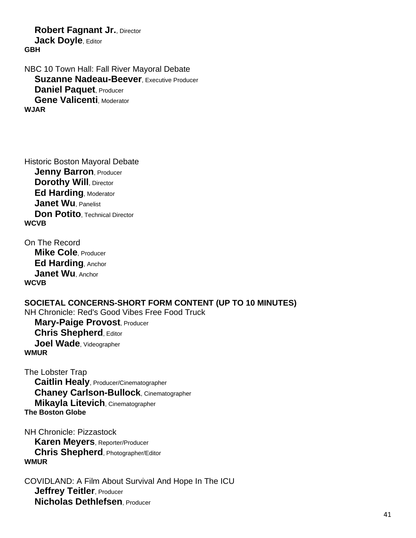**Robert Fagnant Jr., Director Jack Doyle**, Editor **GBH**

NBC 10 Town Hall: Fall River Mayoral Debate **Suzanne Nadeau-Beever, Executive Producer Daniel Paquet**, Producer **Gene Valicenti**, Moderator **WJAR**

Historic Boston Mayoral Debate **Jenny Barron, Producer Dorothy Will, Director Ed Harding, Moderator Janet Wu**, Panelist **Don Potito**, Technical Director **WCVB**

On The Record **Mike Cole**, Producer **Ed Harding**, Anchor **Janet Wu** Anchor **WCVB**

**SOCIETAL CONCERNS-SHORT FORM CONTENT (UP TO 10 MINUTES)** NH Chronicle: Red's Good Vibes Free Food Truck **Mary-Paige Provost**, Producer **Chris Shepherd**, Editor **Joel Wade**, Videographer **WMUR**

The Lobster Trap **Caitlin Healy**, Producer/Cinematographer **Chaney Carlson-Bullock**, Cinematographer **Mikayla Litevich**, Cinematographer **The Boston Globe**

NH Chronicle: Pizzastock **Karen Meyers**, Reporter/Producer **Chris Shepherd**, Photographer/Editor **WMUR**

COVIDLAND: A Film About Survival And Hope In The ICU **Jeffrey Teitler**, Producer **Nicholas Dethlefsen**, Producer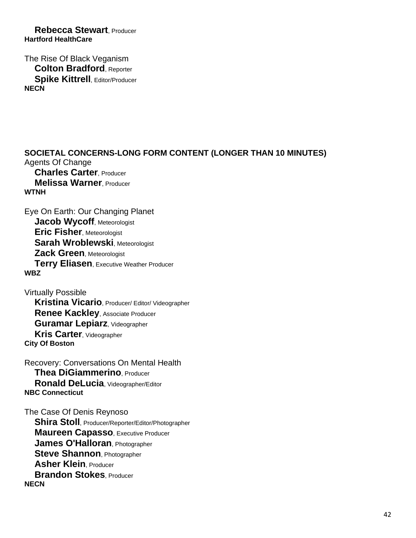**Rebecca Stewart**, Producer **Hartford HealthCare**

The Rise Of Black Veganism **Colton Bradford**, Reporter **Spike Kittrell**, Editor/Producer **NECN**

**SOCIETAL CONCERNS-LONG FORM CONTENT (LONGER THAN 10 MINUTES)** Agents Of Change **Charles Carter**, Producer **Melissa Warner**, Producer **WTNH**

Eye On Earth: Our Changing Planet **Jacob Wycoff**, Meteorologist **Eric Fisher**, Meteorologist **Sarah Wroblewski**, Meteorologist **Zack Green**, Meteorologist **Terry Eliasen**, Executive Weather Producer **WBZ**

Virtually Possible **Kristina Vicario**, Producer/ Editor/ Videographer **Renee Kackley**, Associate Producer **Guramar Lepiarz**, Videographer **Kris Carter**, Videographer **City Of Boston**

Recovery: Conversations On Mental Health **Thea DiGiammerino**, Producer **Ronald DeLucia**, Videographer/Editor **NBC Connecticut**

The Case Of Denis Reynoso **Shira Stoll**, Producer/Reporter/Editor/Photographer **Maureen Capasso**, Executive Producer **James O'Halloran**, Photographer **Steve Shannon**, Photographer **Asher Klein**, Producer **Brandon Stokes**, Producer **NECN**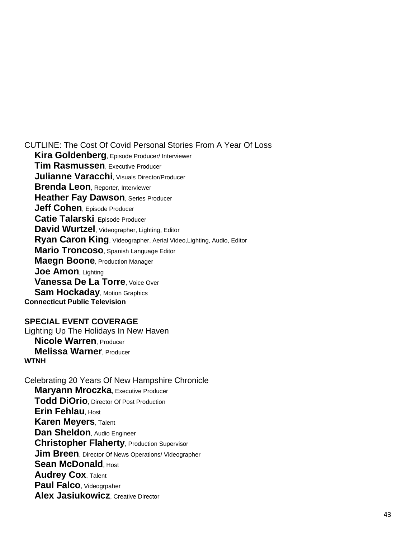CUTLINE: The Cost Of Covid Personal Stories From A Year Of Loss

 **Kira Goldenberg**, Episode Producer/ Interviewer **Tim Rasmussen**, Executive Producer **Julianne Varacchi**, Visuals Director/Producer **Brenda Leon**, Reporter, Interviewer **Heather Fay Dawson, Series Producer Jeff Cohen**, Episode Producer **Catie Talarski**, Episode Producer **David Wurtzel**, Videographer, Lighting, Editor **Ryan Caron King**, Videographer, Aerial Video,Lighting, Audio, Editor **Mario Troncoso**, Spanish Language Editor **Maegn Boone**, Production Manager **Joe Amon**, Lighting **Vanessa De La Torre**, Voice Over **Sam Hockaday**, Motion Graphics **Connecticut Public Television**

**SPECIAL EVENT COVERAGE** Lighting Up The Holidays In New Haven **Nicole Warren**, Producer **Melissa Warner**, Producer **WTNH**

Celebrating 20 Years Of New Hampshire Chronicle **Maryann Mroczka, Executive Producer Todd DiOrio**, Director Of Post Production **Erin Fehlau**, Host **Karen Meyers**, Talent **Dan Sheldon**, Audio Engineer **Christopher Flaherty**, Production Supervisor **Jim Breen**, Director Of News Operations/ Videographer **Sean McDonald. Host Audrey Cox**, Talent **Paul Falco**, Videogrpaher **Alex Jasiukowicz**, Creative Director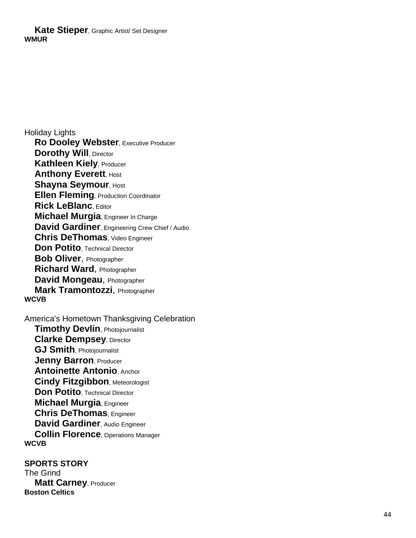**Kate Stieper**, Graphic Artist/ Set Designer **WMUR**

Holiday Lights **Ro Dooley Webster**, Executive Producer **Dorothy Will, Director Kathleen Kiely**, Producer **Anthony Everett, Host Shayna Seymour, Host Ellen Fleming**, Production Coordinator **Rick LeBlanc**, Editor **Michael Murgia**, Engineer In Charge **David Gardiner**, Engineering Crew Chief / Audio **Chris DeThomas**, Video Engineer **Don Potito**, Technical Director **Bob Oliver**, Photographer **Richard Ward**, Photographer **David Mongeau**, Photographer **Mark Tramontozzi**, Photographer **WCVB**

America's Hometown Thanksgiving Celebration **Timothy Devlin**, Photojournalist **Clarke Dempsey**, Director **GJ Smith**, Photojournalist **Jenny Barron**, Producer **Antoinette Antonio**, Anchor **Cindy Fitzgibbon**, Meteorologist **Don Potito**, Technical Director **Michael Murgia**, Engineer **Chris DeThomas**, Engineer **David Gardiner**, Audio Engineer **Collin Florence**, Operations Manager **WCVB**

**SPORTS STORY** The Grind **Matt Carney**, Producer **Boston Celtics**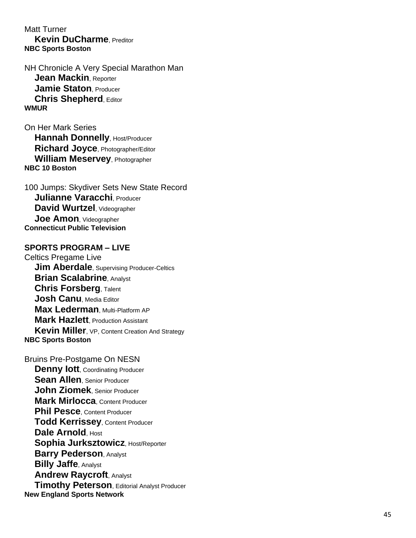Matt Turner **Kevin DuCharme**, Preditor **NBC Sports Boston**

NH Chronicle A Very Special Marathon Man **Jean Mackin**, Reporter **Jamie Staton**, Producer **Chris Shepherd**, Editor **WMUR**

On Her Mark Series **Hannah Donnelly, Host/Producer Richard Joyce**, Photographer/Editor **William Meservey**, Photographer **NBC 10 Boston**

100 Jumps: Skydiver Sets New State Record **Julianne Varacchi**, Producer **David Wurtzel**, Videographer **Joe Amon**, Videographer **Connecticut Public Television**

#### **SPORTS PROGRAM – LIVE**

Celtics Pregame Live **Jim Aberdale, Supervising Producer-Celtics Brian Scalabrine**, Analyst **Chris Forsberg**, Talent **Josh Canu**, Media Editor **Max Lederman, Multi-Platform AP Mark Hazlett**, Production Assistant **Kevin Miller**, VP, Content Creation And Strategy **NBC Sports Boston**

Bruins Pre -Postgame On NESN **Denny lott**, Coordinating Producer **Sean Allen**, Senior Producer **John Ziomek**, Senior Producer **Mark Mirlocca**, Content Producer **Phil Pesce**, Content Producer **Todd Kerrissey**, Content Producer **Dale Arnold**, Host **Sophia Jurksztowicz, Host/Reporter Barry Pederson**, Analyst **Billy Jaffe**, Analyst **Andrew Raycroft**, Analyst **Timothy Peterson**, Editorial Analyst Producer **New England Sports Network**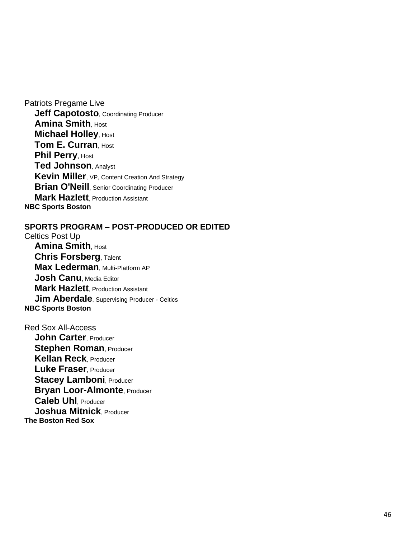Patriots Pregame Live **Jeff Capotosto, Coordinating Producer Amina Smith**, Host **Michael Holley, Host Tom E. Curran**, Host **Phil Perry, Host Ted Johnson**, Analyst **Kevin Miller**, VP, Content Creation And Strategy **Brian O'Neill**, Senior Coordinating Producer **Mark Hazlett**, Production Assistant **NBC Sports Boston**

#### **SPORTS PROGRAM – POST-PRODUCED OR EDITED**

Celtics Post Up **Amina Smith**, Host **Chris Forsberg**, Talent **Max Lederman**, Multi-Platform AP **Josh Canu**, Media Editor **Mark Hazlett**, Production Assistant **Jim Aberdale**, Supervising Producer - Celtics **NBC Sports Boston**

Red Sox All-Access **John Carter**, Producer **Stephen Roman, Producer Kellan Reck**, Producer **Luke Fraser**, Producer **Stacey Lamboni, Producer Bryan Loor-Almonte, Producer Caleb Uhl**, Producer **Joshua Mitnick**, Producer **The Boston Red Sox**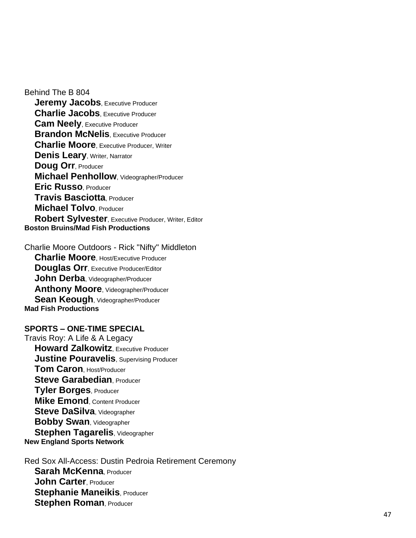Behind The B 804 **Jeremy Jacobs, Executive Producer Charlie Jacobs. Executive Producer Cam Neely**, Executive Producer **Brandon McNelis. Executive Producer Charlie Moore**, Executive Producer, Writer **Denis Leary, Writer, Narrator Doug Orr**, Producer **Michael Penhollow**, Videographer/Producer **Eric Russo**, Producer **Travis Basciotta**, Producer **Michael Tolvo**, Producer **Robert Sylvester**, Executive Producer, Writer, Editor **Boston Bruins/Mad Fish Productions**

Charlie Moore Outdoors - Rick "Nifty" Middleton **Charlie Moore**, Host/Executive Producer **Douglas Orr**, Executive Producer/Editor **John Derba**, Videographer/Producer **Anthony Moore, Videographer/Producer Sean Keough, Videographer/Producer Mad Fish Productions**

#### $SPORTS - ONE-TIME SPECIAL$

Travis Roy: A Life & A Legacy **Howard Zalkowitz**, Executive Producer **Justine Pouravelis**, Supervising Producer **Tom Caron**, Host/Producer **Steve Garabedian**, Producer **Tyler Borges**, Producer **Mike Emond**, Content Producer **Steve DaSilva**, Videographer **Bobby Swan**, Videographer **Stephen Tagarelis**, Videographer **New England Sports Network**

Red Sox All -Access: Dustin Pedroia Retirement Ceremony **Sarah McKenna**, Producer **John Carter**, Producer **Stephanie Maneikis, Producer Stephen Roman**, Producer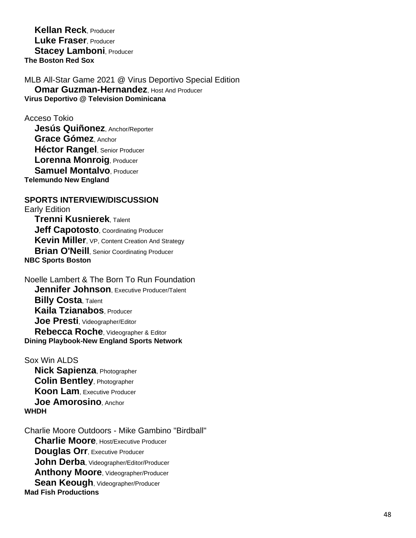**Kellan Reck**, Producer **Luke Fraser**, Producer **Stacey Lamboni, Producer The Boston Red Sox**

MLB All -Star Game 2021 @ Virus Deportivo Special Edition **Omar Guzman-Hernandez**, Host And Producer **Virus Deportivo @ Television Dominicana**

Acceso Tokio

 **Jesús Quiñonez**, Anchor/Reporter **Grace Gómez**, Anchor **Héctor Rangel**, Senior Producer **Lorenna Monroig**, Producer **Samuel Montalvo**, Producer **Telemundo New England**

# **SPORTS INTERVIEW/DISCUSSION**

Early Edition **Trenni Kusnierek**, Talent **Jeff Capotosto, Coordinating Producer Kevin Miller**, VP, Content Creation And Strategy **Brian O'Neill**, Senior Coordinating Producer **NBC Sports Boston**

Noelle Lambert & The Born To Run Foundation **Jennifer Johnson**, Executive Producer/Talent **Billy Costa**, Talent **Kaila Tzianabos**, Producer **Joe Presti**, Videographer/Editor **Rebecca Roche**, Videographer & Editor **Dining Playbook -New England Sports Network**

Sox Win ALDS **Nick Sapienza**, Photographer **Colin Bentley**, Photographer **Koon Lam**, Executive Producer **Joe Amorosino**, Anchor **WHDH**

Charlie Moore Outdoors - Mike Gambino "Birdball" **Charlie Moore**, Host/Executive Producer **Douglas Orr**, Executive Producer **John Derba**, Videographer/Editor/Producer **Anthony Moore**, Videographer/Producer **Sean Keough, Videographer/Producer Mad Fish Productions**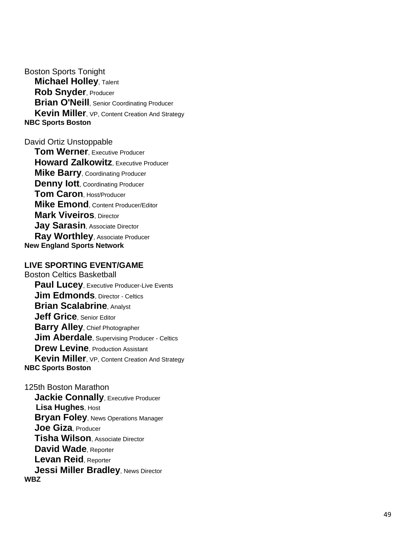Boston Sports Tonight **Michael Holley**, Talent **Rob Snyder**, Producer **Brian O'Neill**, Senior Coordinating Producer **Kevin Miller**, VP, Content Creation And Strategy **NBC Sports Boston**

#### David Ortiz Unstoppable

 **Tom Werner**, Executive Producer **Howard Zalkowitz**, Executive Producer **Mike Barry**, Coordinating Producer **Denny lott**, Coordinating Producer **Tom Caron**, Host/Producer **Mike Emond**, Content Producer/Editor **Mark Viveiros**, Director **Jay Sarasin**, Associate Director **Ray Worthley**, Associate Producer **New England Sports Network**

#### **LIVE SPORTING EVENT/GAME**

Boston Celtics Basketball **Paul Lucey**, Executive Producer-Live Events **Jim Edmonds, Director - Celtics Brian Scalabrine**, Analyst **Jeff Grice**, Senior Editor **Barry Alley**, Chief Photographer **Jim Aberdale**, Supervising Producer - Celtics **Drew Levine**, Production Assistant **Kevin Miller**, VP, Content Creation And Strategy **NBC Sports Boston**

125th Boston Marathon **Jackie Connally**, Executive Producer  **Lisa Hughes**, Host **Bryan Foley**, News Operations Manager **Joe Giza**, Producer **Tisha Wilson**, Associate Director **David Wade**, Reporter **Levan Reid**, Reporter **Jessi Miller Bradley, News Director WBZ**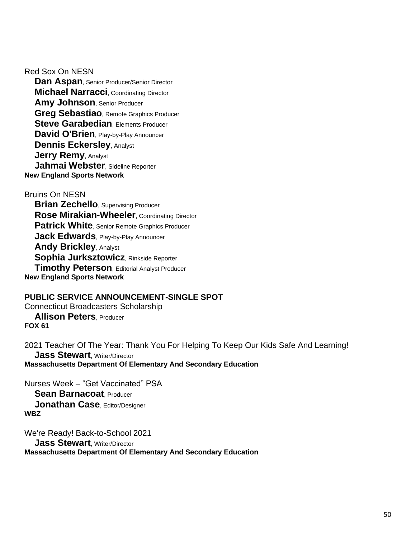Red Sox On NESN

 **Dan Aspan**, Senior Producer/Senior Director **Michael Narracci**, Coordinating Director **Amy Johnson**, Senior Producer **Greg Sebastiao**, Remote Graphics Producer **Steve Garabedian, Elements Producer David O'Brien**, Play-by-Play Announcer **Dennis Eckersley**, Analyst **Jerry Remy**, Analyst **Jahmai Webster**, Sideline Reporter **New England Sports Network**

Bruins On NESN

**Brian Zechello**, Supervising Producer **Rose Mirakian-Wheeler**, Coordinating Director **Patrick White**, Senior Remote Graphics Producer **Jack Edwards**, Play-by-Play Announcer **Andy Brickley**, Analyst **Sophia Jurksztowicz**, Rinkside Reporter **Timothy Peterson**, Editorial Analyst Producer **New England Sports Network**

#### **PUBLIC SERVICE ANNOUNCEMENT-SINGLE SPOT** Connecticut Broadcasters Scholarship **Allison Peters**, Producer **FOX 61**

2021 Teacher Of The Year: Thank You For Helping To Keep Our Kids Safe And Learning! **Jass Stewart**, Writer/Director **Massachusetts Department Of Elementary And Secondary Education**

Nurses Week – "Get Vaccinated" PSA **Sean Barnacoat**, Producer **Jonathan Case**, Editor/Designer **WBZ**

We're Ready! Back-to-School 2021 **Jass Stewart**, Writer/Director **Massachusetts Department Of Elementary And Secondary Education**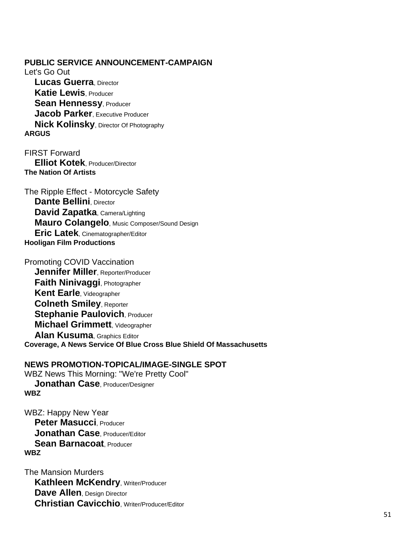**PUBLIC SERVICE ANNOUNCEMENT-CAMPAIGN** Let's Go Out **Lucas Guerra**, Director **Katie Lewis**, Producer **Sean Hennessy**, Producer **Jacob Parker**, Executive Producer **Nick Kolinsky**, Director Of Photography **ARGUS**

FIRST Forward **Elliot Kotek**, Producer/Director **The Nation Of Artists**

The Ripple Effect - Motorcycle Safety **Dante Bellini**, Director **David Zapatka**, Camera/Lighting **Mauro Colangelo**, Music Composer/Sound Design **Eric Latek**, Cinematographer/Editor **Hooligan Film Productions**

Promoting COVID Vaccination **Jennifer Miller**, Reporter/Producer **Faith Ninivaggi**, Photographer **Kent Earle**, Videographer **Colneth Smiley**, Reporter **Stephanie Paulovich, Producer Michael Grimmett**, Videographer **Alan Kusuma**, Graphics Editor **Coverage, A News Service Of Blue Cross Blue Shield Of Massachusetts**

#### **NEWS PROMOTION-TOPICAL/IMAGE-SINGLE SPOT**

WBZ News This Morning: "We're Pretty Cool" **Jonathan Case**, Producer/Designer **WBZ**

WBZ: Happy New Year **Peter Masucci**, Producer **Jonathan Case**, Producer/Editor **Sean Barnacoat**, Producer **WBZ**

The Mansion Murders **Kathleen McKendry, Writer/Producer Dave Allen, Design Director Christian Cavicchio**, Writer/Producer/Editor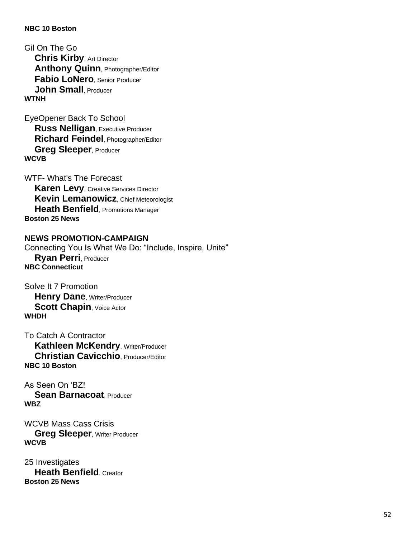#### **NBC 10 Boston**

Gil On The Go **Chris Kirby**, Art Director **Anthony Quinn, Photographer/Editor Fabio LoNero**, Senior Producer **John Small**, Producer **WTNH**

EyeOpener Back To School **Russ Nelligan**, Executive Producer **Richard Feindel**, Photographer/Editor **Greg Sleeper**, Producer **WCVB**

WTF- What's The Forecast **Karen Levy**, Creative Services Director **Kevin Lemanowicz**, Chief Meteorologist **Heath Benfield**, Promotions Manager **Boston 25 News**

# **NEWS PROMOTION-CAMPAIGN**

Connecting You Is What We Do: "Include, Inspire, Unite" **Ryan Perri**, Producer **NBC Connecticut**

Solve It 7 Promotion **Henry Dane**, Writer/Producer **Scott Chapin, Voice Actor WHDH**

To Catch A Contractor **Kathleen McKendry, Writer/Producer Christian Cavicchio**, Producer/Editor **NBC 10 Boston**

As Seen On 'BZ! **Sean Barnacoat**, Producer **WBZ**

WCVB Mass Cass Crisis **Greg Sleeper, Writer Producer WCVB**

25 Investigates **Heath Benfield**, Creator **Boston 25 News**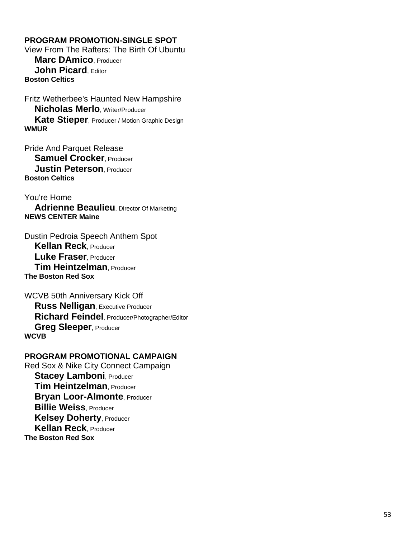# **PROGRAM PROMOTION -SINGLE SPOT**

View From The Rafters: The Birth Of Ubuntu **Marc DAmico**, Producer **John Picard**, Editor **Boston Celtics**

Fritz Wetherbee's Haunted New Hampshire **Nicholas Merlo**, Writer/Producer **Kate Stieper**, Producer / Motion Graphic Design **WMUR**

Pride And Parquet Release **Samuel Crocker**, Producer **Justin Peterson**, Producer **Boston Celtics**

You're Home **Adrienne Beaulieu**, Director Of Marketing **NEWS CENTER Maine**

Dustin Pedroia Speech Anthem Spot **Kellan Reck**, Producer **Luke Fraser**, Producer **Tim Heintzelman**, Producer **The Boston Red Sox**

WCVB 50th Anniversary Kick Off **Russ Nelligan**, Executive Producer **Richard Feindel**, Producer/Photographer/Editor **Greg Sleeper**, Producer **WCVB**

# **PROGRAM PROMOTIONAL CAMPAIGN**

Red Sox & Nike City Connect Campaign **Stacey Lamboni, Producer Tim Heintzelman**, Producer **Bryan Loor -Almonte**, Producer **Billie Weiss**, Producer **Kelsey Doherty, Producer Kellan Reck**, Producer **The Boston Red Sox**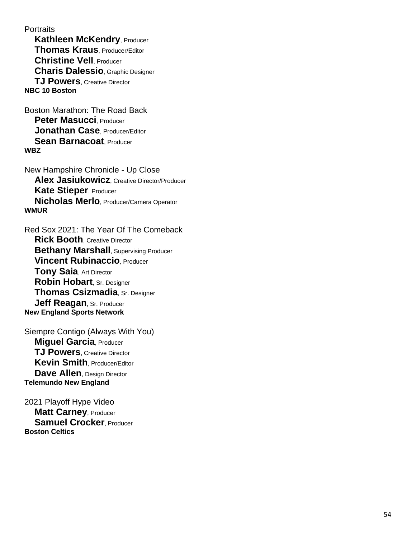**Portraits** 

**Kathleen McKendry, Producer Thomas Kraus**, Producer/Editor **Christine Vell**, Producer **Charis Dalessio**, Graphic Designer **TJ Powers**, Creative Director **NBC 10 Boston**

Boston Marathon: The Road Back **Peter Masucci**, Producer **Jonathan Case**, Producer/Editor **Sean Barnacoat**, Producer **WBZ**

New Hampshire Chronicle - Up Close **Alex Jasiukowicz**, Creative Director/Producer **Kate Stieper**, Producer **Nicholas Merlo**, Producer/Camera Operator **WMUR**

Red Sox 2021: The Year Of The Comeback **Rick Booth**, Creative Director **Bethany Marshall**, Supervising Producer **Vincent Rubinaccio**, Producer **Tony Saia**, Art Director **Robin Hobart**, Sr. Designer **Thomas Csizmadia**, Sr. Designer **Jeff Reagan**, Sr. Producer **New England Sports Network**

Siempre Contigo (Always With You) **Miguel Garcia**, Producer **TJ Powers**, Creative Director **Kevin Smith**, Producer/Editor **Dave Allen, Design Director Telemundo New England**

2021 Playoff Hype Video **Matt Carney**, Producer **Samuel Crocker**, Producer **Boston Celtics**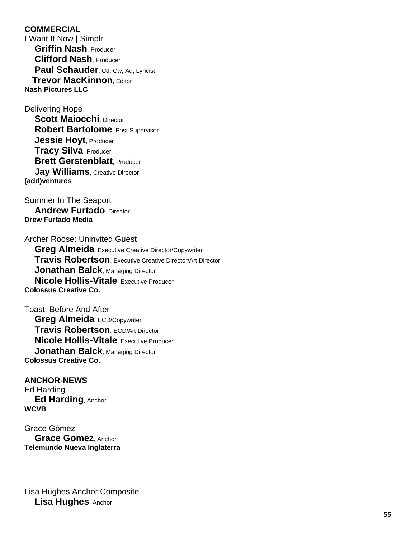#### **COMMERCIAL**

I Want It Now | Simplr **Griffin Nash**, Producer **Clifford Nash**, Producer Paul Schauder, Cd, Cw, Ad, Lyricist **Trevor Mac Kinnon**, Editor **Nash Pictures LLC**

Delivering Hope

**Scott Maiocchi**, Director **Robert Bartolome**, Post Supervisor **Jessie Hoyt**, Producer **Tracy Silva**, Producer **Brett Gerstenblatt**, Producer **Jay Williams**, Creative Director **(add)ventures**

Summer In The Seaport **Andrew Furtado, Director Drew Furtado Media**

Archer Roose: Uninvited Guest **Greg Almeida**, Executive Creative Director/Copywriter **Travis Robertson**, Executive Creative Director/Art Director **Jonathan Balck**, Managing Director **Nicole Hollis -Vitale**, Executive Producer **Colossus Creative Co.**

Toast: Before And After **Greg Almeida, ECD/Copywriter Travis Robertson**, ECD/Art Director **Nicole Hollis -Vitale**, Executive Producer **Jonathan Balck, Managing Director Colossus Creative Co.**

**ANCHOR -NEWS** Ed Harding **Ed Harding**, Anchor **WCVB**

Grace Gómez **Grace Gomez**, Anchor **Telemundo Nueva Inglaterra**

Lisa Hughes Anchor Composite **Lisa Hughes**, Anchor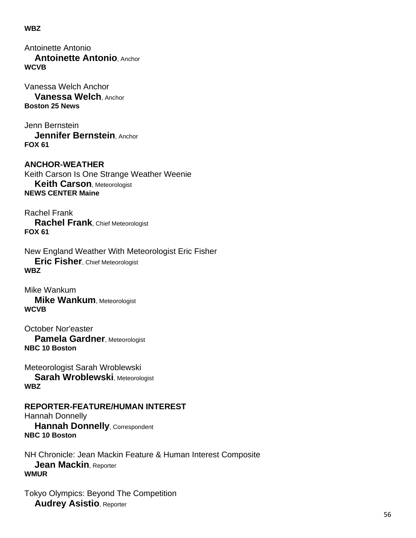#### **WBZ**

Antoinette Antonio **Antoinette Antonio**, Anchor **WCVB**

Vanessa Welch Anchor **Vanessa Welch**, Anchor **Boston 25 News**

Jenn Bernstein **Jennifer Bernstein**, Anchor **FOX 61**

**ANCHOR-WEATHER** Keith Carson Is One Strange Weather Weenie **Keith Carson**, Meteorologist **NEWS CENTER Maine**

Rachel Frank **Rachel Frank**, Chief Meteorologist **FOX 61**

New England Weather With Meteorologist Eric Fisher **Eric Fisher**, Chief Meteorologist **WBZ**

Mike Wankum **Mike Wankum**, Meteorologist **WCVB**

October Nor'easter **Pamela Gardner**, Meteorologist **NBC 10 Boston**

Meteorologist Sarah Wroblewski **Sarah Wroblewski**, Meteorologist **WBZ**

#### **REPORTER-FEATURE/HUMAN INTEREST** Hannah Donnelly **Hannah Donnelly**, Correspondent

**NBC 10 Boston**

NH Chronicle: Jean Mackin Feature & Human Interest Composite **Jean Mackin**, Reporter **WMUR**

Tokyo Olympics: Beyond The Competition **Audrey Asistio**, Reporter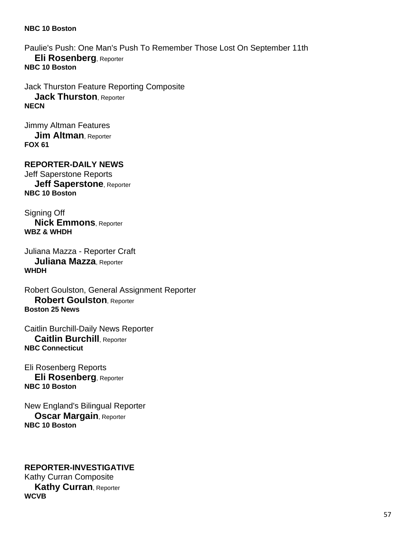#### **NBC 10 Boston**

Paulie's Push: One Man's Push To Remember Those Lost On September 11th **Eli Rosenberg**, Reporter **NBC 10 Boston**

Jack Thurston Feature Reporting Composite **Jack Thurston**, Reporter **NECN**

Jimmy Altman Features **Jim Altman**, Reporter **FOX 61**

**REPORTER-DAILY NEWS** Jeff Saperstone Reports **Jeff Saperstone**, Reporter **NBC 10 Boston**

Signing Off **Nick Emmons**, Reporter **WBZ & WHDH**

Juliana Mazza - Reporter Craft **Juliana Mazza**, Reporter **WHDH**

Robert Goulston, General Assignment Reporter **Robert Goulston**, Reporter **Boston 25 News**

Caitlin Burchill-Daily News Reporter **Caitlin Burchill**, Reporter **NBC Connecticut**

Eli Rosenberg Reports **Eli Rosenberg**, Reporter **NBC 10 Boston**

New England's Bilingual Reporter **Oscar Margain**, Reporter **NBC 10 Boston**

#### **REPORTER-INVESTIGATIVE** Kathy Curran Composite **Kathy Curran**, Reporter **WCVB**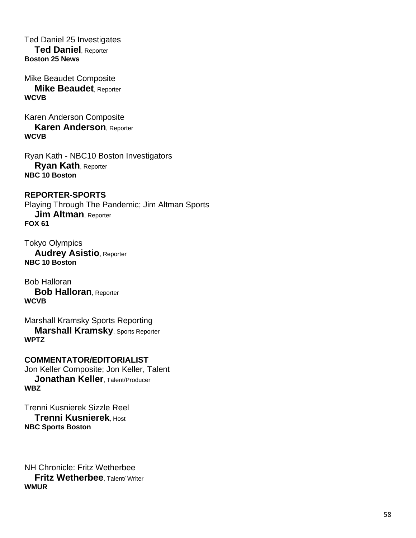Ted Daniel 25 Investigates **Ted Daniel**, Reporter **Boston 25 News**

Mike Beaudet Composite **Mike Beaudet**, Reporter **WCVB**

Karen Anderson Composite **Karen Anderson**, Reporter **WCVB**

Ryan Kath - NBC10 Boston Investigators **Ryan Kath**, Reporter **NBC 10 Boston**

**REPORTER-SPORTS** Playing Through The Pandemic; Jim Altman Sports **Jim Altman, Reporter FOX 61**

Tokyo Olympics **Audrey Asistio**, Reporter **NBC 10 Boston**

Bob Halloran **Bob Halloran**, Reporter **WCVB**

Marshall Kramsky Sports Reporting **Marshall Kramsky**, Sports Reporter **WPTZ**

**COMMENTATOR/EDITORIALIST** Jon Keller Composite; Jon Keller, Talent **Jonathan Keller**, Talent/Producer **WBZ**

Trenni Kusnierek Sizzle Reel **Trenni Kusnierek**, Host **NBC Sports Boston**

NH Chronicle: Fritz Wetherbee **Fritz Wetherbee**, Talent/ Writer **WMUR**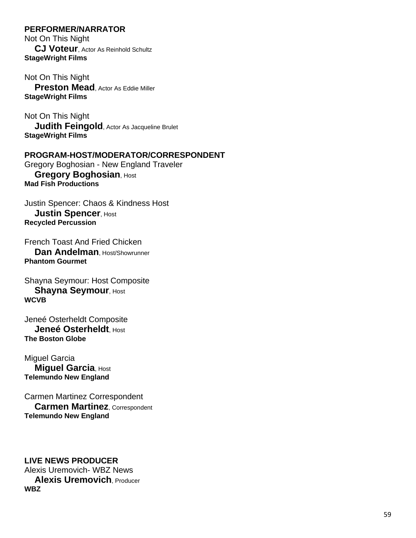#### **PERFORMER/NARRATOR**

Not On This Night **CJ Voteur**, Actor As Reinhold Schultz **StageWright Films**

Not On This Night **Preston Mead**, Actor As Eddie Miller **StageWright Films**

Not On This Night **Judith Feingold**, Actor As Jacqueline Brulet **StageWright Films**

# **PROGRAM-HOST/MODERATOR/CORRESPONDENT**

Gregory Boghosian - New England Traveler **Gregory Boghosian, Host Mad Fish Productions**

Justin Spencer: Chaos & Kindness Host **Justin Spencer, Host Recycled Percussion**

French Toast And Fried Chicken **Dan Andelman**, Host/Showrunner **Phantom Gourmet**

Shayna Seymour: Host Composite **Shayna Seymour, Host WCVB**

Jeneé Osterheldt Composite **Jeneé Osterheldt**, Host **The Boston Globe**

Miguel Garcia **Miquel Garcia, Host Telemundo New England**

Carmen Martinez Correspondent **Carmen Martinez**, Correspondent **Telemundo New England**

**LIVE NEWS PRODUCER** Alexis Uremovich- WBZ News **Alexis Uremovich**, Producer **WBZ**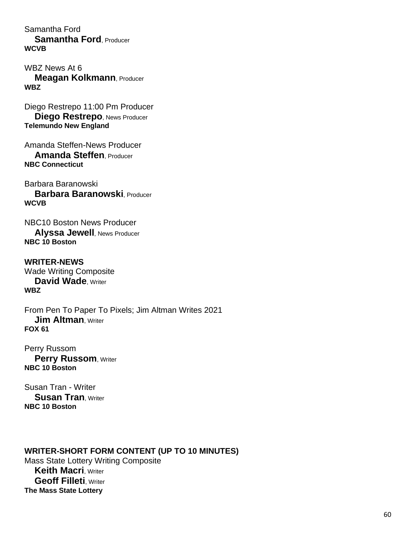Samantha Ford **Samantha Ford**, Producer **WCVB**

WBZ News At 6 **Meagan Kolkmann**, Producer **WBZ**

Diego Restrepo 11:00 Pm Producer **Diego Restrepo**, News Producer **Telemundo New England**

Amanda Steffen-News Producer **Amanda Steffen**, Producer **NBC Connecticut**

Barbara Baranowski **Barbara Baranowski**, Producer **WCVB**

NBC10 Boston News Producer **Alyssa Jewell**, News Producer **NBC 10 Boston**

**WRITER-NEWS** Wade Writing Composite **David Wade**, Writer **WBZ**

From Pen To Paper To Pixels; Jim Altman Writes 2021 **Jim Altman**, Writer **FOX 61**

Perry Russom **Perry Russom, Writer NBC 10 Boston**

Susan Tran - Writer **Susan Tran**, Writer **NBC 10 Boston**

**WRITER-SHORT FORM CONTENT (UP TO 10 MINUTES)** Mass State Lottery Writing Composite **Keith Macri, Writer Geoff Filleti, Writer The Mass State Lottery**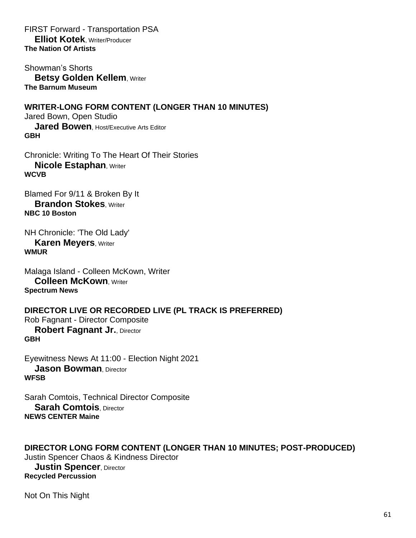FIRST Forward - Transportation PSA **Elliot Kotek**, Writer/Producer **The Nation Of Artists**

Showman's Shorts **Betsy Golden Kellem, Writer The Barnum Museum**

**WRITER-LONG FORM CONTENT (LONGER THAN 10 MINUTES)** Jared Bown, Open Studio **Jared Bowen**, Host/Executive Arts Editor **GBH**

Chronicle: Writing To The Heart Of Their Stories **Nicole Estaphan, Writer WCVB**

Blamed For 9/11 & Broken By It **Brandon Stokes**, Writer **NBC 10 Boston**

NH Chronicle: 'The Old Lady' **Karen Meyers, Writer WMUR**

Malaga Island - Colleen McKown, Writer **Colleen McKown**, Writer **Spectrum News**

**DIRECTOR LIVE OR RECORDED LIVE (PL TRACK IS PREFERRED)** Rob Fagnant - Director Composite **Robert Fagnant Jr., Director GBH**

Eyewitness News At 11:00 - Election Night 2021 **Jason Bowman, Director WFSB**

Sarah Comtois, Technical Director Composite **Sarah Comtois**, Director **NEWS CENTER Maine**

**DIRECTOR LONG FORM CONTENT (LONGER THAN 10 MINUTES; POST-PRODUCED)** Justin Spencer Chaos & Kindness Director **Justin Spencer, Director Recycled Percussion**

Not On This Night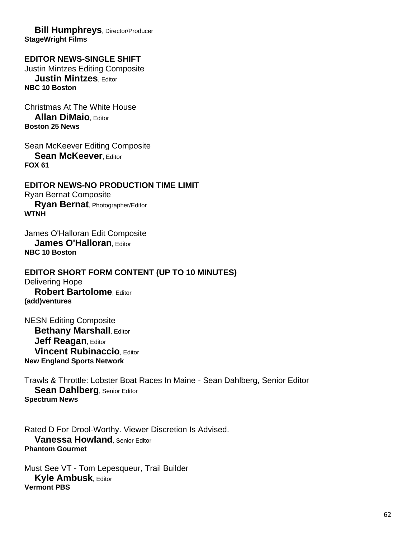**Bill Humphreys**, Director/Producer **StageWright Films**

#### **EDITOR NEWS-SINGLE SHIFT** Justin Mintzes Editing Composite **Justin Mintzes**, Editor **NBC 10 Boston**

Christmas At The White House **Allan DiMaio**, Editor **Boston 25 News**

Sean McKeever Editing Composite **Sean McKeever. Editor FOX 61**

**EDITOR NEWS-NO PRODUCTION TIME LIMIT** Ryan Bernat Composite **Ryan Bernat**, Photographer/Editor **WTNH**

James O'Halloran Edit Composite **James O'Halloran, Editor NBC 10 Boston**

**EDITOR SHORT FORM CONTENT (UP TO 10 MINUTES)** Delivering Hope **Robert Bartolome**, Editor **(add)ventures**

NESN Editing Composite **Bethany Marshall, Editor Jeff Reagan, Editor Vincent Rubinaccio**, Editor **New England Sports Network**

Trawls & Throttle: Lobster Boat Races In Maine - Sean Dahlberg, Senior Editor **Sean Dahlberg, Senior Editor Spectrum News**

Rated D For Drool-Worthy. Viewer Discretion Is Advised. **Vanessa Howland**, Senior Editor **Phantom Gourmet**

Must See VT - Tom Lepesqueur, Trail Builder **Kyle Ambusk**, Editor **Vermont PBS**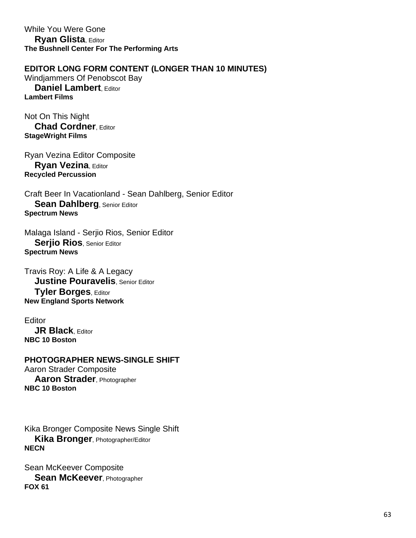While You Were Gone **Ryan Glista**, Editor **The Bushnell Center For The Performing Arts**

# **EDITOR LONG FORM CONTENT (LONGER THAN 10 MINUTES)**

Windjammers Of Penobscot Bay **Daniel Lambert**, Editor **Lambert Films**

Not On This Night **Chad Cordner**, Editor **StageWright Films**

Ryan Vezina Editor Composite **Ryan Vezina**, Editor **Recycled Percussion**

Craft Beer In Vacationland - Sean Dahlberg, Senior Editor **Sean Dahlberg**, Senior Editor **Spectrum News**

Malaga Island - Serjio Rios, Senior Editor **Serjio Rios**, Senior Editor **Spectrum News**

Travis Roy: A Life & A Legacy **Justine Pouravelis**, Senior Editor **Tyler Borges**, Editor **New England Sports Network**

Editor **JR Black**, Editor **NBC 10 Boston**

**PHOTOGRAPHER NEWS-SINGLE SHIFT** Aaron Strader Composite **Aaron Strader**, Photographer **NBC 10 Boston**

Kika Bronger Composite News Single Shift **Kika Bronger**, Photographer/Editor **NECN**

Sean McKeever Composite **Sean McKeever**, Photographer **FOX 61**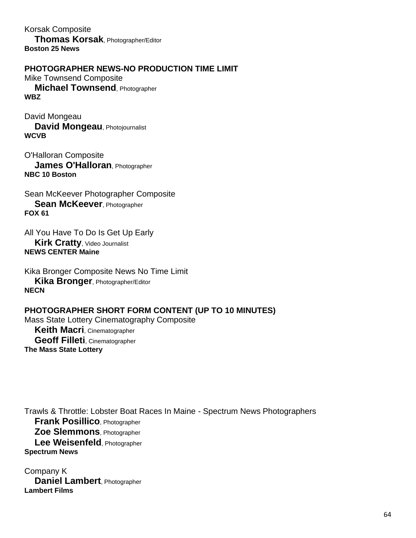Korsak Composite **Thomas Korsak**, Photographer/Editor **Boston 25 News**

**PHOTOGRAPHER NEWS-NO PRODUCTION TIME LIMIT**

Mike Townsend Composite **Michael Townsend**, Photographer **WBZ**

David Mongeau **David Mongeau**, Photojournalist **WCVB**

O'Halloran Composite **James O'Halloran**, Photographer **NBC 10 Boston**

Sean McKeever Photographer Composite **Sean McKeever**, Photographer **FOX 61**

All You Have To Do Is Get Up Early **Kirk Cratty**, Video Journalist **NEWS CENTER Maine**

Kika Bronger Composite News No Time Limit **Kika Bronger**, Photographer/Editor **NECN**

# **PHOTOGRAPHER SHORT FORM CONTENT (UP TO 10 MINUTES)**

Mass State Lottery Cinematography Composite **Keith Macri**, Cinematographer **Geoff Filleti**, Cinematographer **The Mass State Lottery**

Trawls & Throttle: Lobster Boat Races In Maine - Spectrum News Photographers **Frank Posillico**, Photographer **Zoe Slemmons**, Photographer **Lee Weisenfeld**, Photographer **Spectrum News**

Company K **Daniel Lambert**, Photographer **Lambert Films**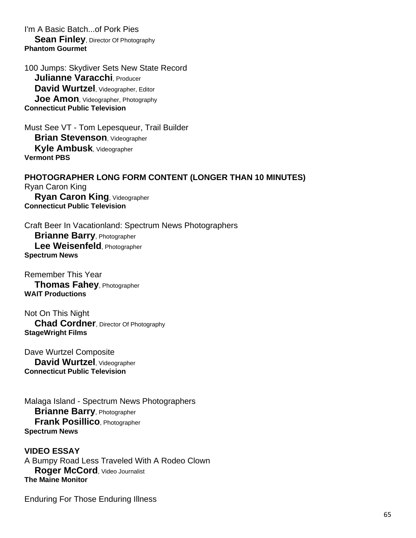I'm A Basic Batch...of Pork Pies **Sean Finley**, Director Of Photography **Phantom Gourmet**

100 Jumps: Skydiver Sets New State Record **Julianne Varacchi**, Producer **David Wurtzel**, Videographer, Editor **Joe Amon**, Videographer, Photography **Connecticut Public Television**

Must See VT - Tom Lepesqueur, Trail Builder **Brian Stevenson**, Videographer **Kyle Ambusk**, Videographer **Vermont PBS**

**PHOTOGRAPHER LONG FORM CONTENT (LONGER THAN 10 MINUTES)** Ryan Caron King **Ryan Caron King**, Videographer **Connecticut Public Television**

Craft Beer In Vacationland: Spectrum News Photographers **Brianne Barry**, Photographer **Lee Weisenfeld**, Photographer **Spectrum News**

Remember This Year **Thomas Fahey**, Photographer **WAIT Productions**

Not On This Night **Chad Cordner**, Director Of Photography **StageWright Films**

Dave Wurtzel Composite **David Wurtzel**, Videographer **Connecticut Public Television**

Malaga Island - Spectrum News Photographers **Brianne Barry**, Photographer **Frank Posillico**, Photographer **Spectrum News**

**VIDEO ESSAY** A Bumpy Road Less Traveled With A Rodeo Clown **Roger McCord**, Video Journalist **The Maine Monitor**

Enduring For Those Enduring Illness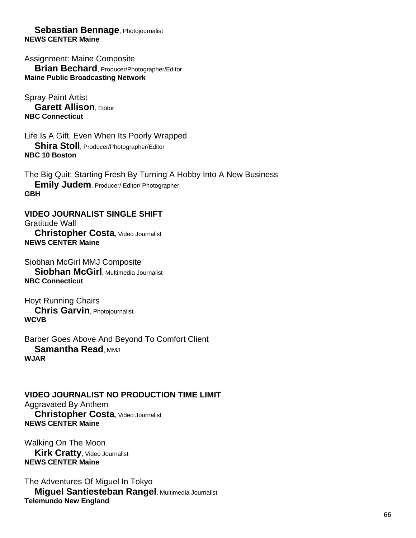#### **Sebastian Bennage**, Photojournalist **NEWS CENTER Maine**

Assignment: Maine Composite **Brian Bechard**, Producer/Photographer/Editor **Maine Public Broadcasting Network**

Spray Paint Artist **Garett Allison**, Editor **NBC Connecticut**

Life Is A Gift, Even When Its Poorly Wrapped **Shira Stoll**, Producer/Photographer/Editor **NBC 10 Boston**

The Big Quit: Starting Fresh By Turning A Hobby Into A New Business **Emily Judem**, Producer/ Editor/ Photographer **GBH**

# **VIDEO JOURNALIST SINGLE SHIFT**

Gratitude Wall **Christopher Costa**, Video Journalist **NEWS CENTER Maine**

Siobhan McGirl MMJ Composite **Siobhan McGirl**, Multimedia Journalist **NBC Connecticut**

Hoyt Running Chairs **Chris Garvin**, Photojournalist **WCVB**

Barber Goes Above And Beyond To Comfort Client **Samantha Read, MMJ WJAR**

#### **VIDEO JOURNALIST NO PRODUCTION TIME LIMIT** Aggravated By Anthem **Christopher Costa**, Video Journalist **NEWS CENTER Maine**

Walking On The Moon **Kirk Cratty**, Video Journalist **NEWS CENTER Maine**

The Adventures Of Miguel In Tokyo **Miguel Santiesteban Rangel**, Multimedia Journalist **Telemundo New England**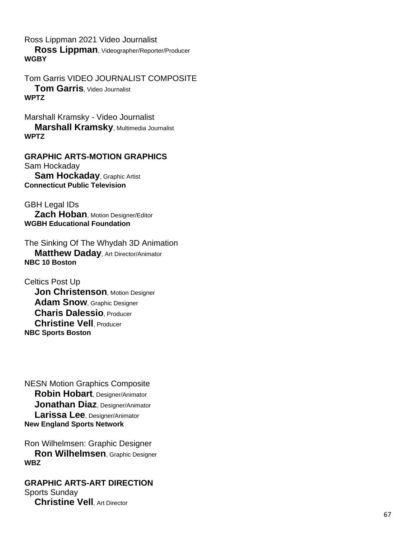Ross Lippman 2021 Video Journalist

 **Ross Lippman**, Videographer/Reporter/Producer **WGBY**

Tom Garris VIDEO JOURNALIST COMPOSITE **Tom Garris**, Video Journalist **WPTZ**

Marshall Kramsky - Video Journalist **Marshall Kramsky, Multimedia Journalist WPTZ**

**GRAPHIC ARTS -MOTION GRAPHICS** Sam Hockaday **Sam Hockaday**, Graphic Artist **Connecticut Public Television**

GBH Legal IDs **Zach Hoban**, Motion Designer/Editor **WGBH Educational Foundation**

The Sinking Of The Whydah 3D Animation **Matthew Daday**, Art Director/Animator **NBC 10 Boston**

Celtics Post Up **Jon Christenson, Motion Designer Adam Snow**, Graphic Designer **Charis Dalessio**, Producer **Christine Vell**, Producer **NBC Sports Boston**

NESN Motion Graphics Composite **Robin Hobart**, Designer/Animator **Jonathan Diaz**, Designer/Animator **Larissa Lee**, Designer/Animator **New England Sports Network**

Ron Wilhelmsen: Graphic Designer **Ron Wilhelmsen**, Graphic Designer **WBZ**

**GRAPHIC ARTS -ART DIRECTION** Sports Sunday **Christine Vell**, Art Director